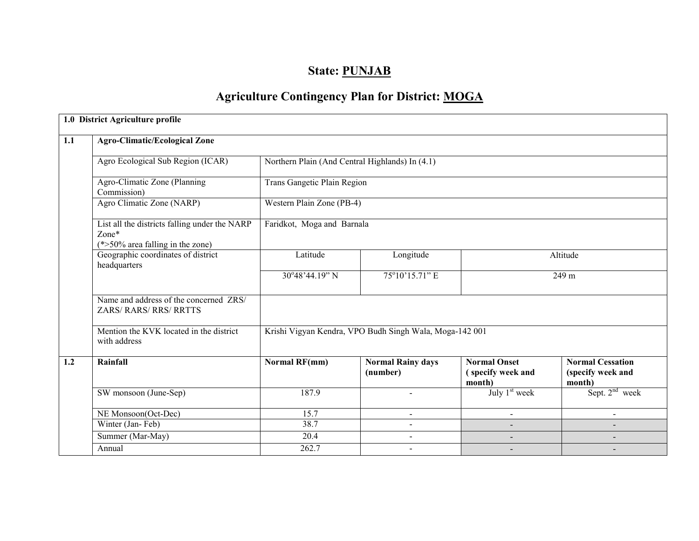# State: PUNJAB

# Agriculture Contingency Plan for District: MOGA

|     | 1.0 District Agriculture profile                                                              |                                                         |                          |                             |                             |  |  |  |  |  |
|-----|-----------------------------------------------------------------------------------------------|---------------------------------------------------------|--------------------------|-----------------------------|-----------------------------|--|--|--|--|--|
| 1.1 | <b>Agro-Climatic/Ecological Zone</b>                                                          |                                                         |                          |                             |                             |  |  |  |  |  |
|     | Agro Ecological Sub Region (ICAR)                                                             | Northern Plain (And Central Highlands) In (4.1)         |                          |                             |                             |  |  |  |  |  |
|     | Agro-Climatic Zone (Planning<br>Commission)                                                   | Trans Gangetic Plain Region                             |                          |                             |                             |  |  |  |  |  |
|     | Agro Climatic Zone (NARP)                                                                     | Western Plain Zone (PB-4)                               |                          |                             |                             |  |  |  |  |  |
|     | List all the districts falling under the NARP<br>Zone*<br>$(*>50\%$ area falling in the zone) | Faridkot, Moga and Barnala                              |                          |                             |                             |  |  |  |  |  |
|     | Geographic coordinates of district<br>headquarters                                            | Latitude                                                | Longitude                |                             | Altitude                    |  |  |  |  |  |
|     |                                                                                               | 30°48'44.19" N                                          | 75°10'15.71" E           | 249 m                       |                             |  |  |  |  |  |
|     | Name and address of the concerned ZRS/<br><b>ZARS/ RARS/ RRS/ RRTTS</b>                       |                                                         |                          |                             |                             |  |  |  |  |  |
|     | Mention the KVK located in the district<br>with address                                       | Krishi Vigyan Kendra, VPO Budh Singh Wala, Moga-142 001 |                          |                             |                             |  |  |  |  |  |
| 1.2 | Rainfall                                                                                      | <b>Normal RF(mm)</b>                                    | <b>Normal Rainy days</b> | <b>Normal Onset</b>         | <b>Normal Cessation</b>     |  |  |  |  |  |
|     |                                                                                               |                                                         | (number)                 | (specify week and<br>month) | (specify week and<br>month) |  |  |  |  |  |
|     | SW monsoon (June-Sep)                                                                         | 187.9                                                   |                          | July 1 <sup>st</sup> week   | Sept. $2nd$ week            |  |  |  |  |  |
|     | NE Monsoon(Oct-Dec)                                                                           | 15.7                                                    |                          |                             |                             |  |  |  |  |  |
|     | Winter (Jan-Feb)                                                                              | 38.7                                                    | $\sim$                   |                             |                             |  |  |  |  |  |
|     | Summer (Mar-May)                                                                              | 20.4                                                    | $\blacksquare$           | $\overline{\phantom{0}}$    | $\overline{\phantom{a}}$    |  |  |  |  |  |
|     | Annual                                                                                        | 262.7                                                   |                          |                             |                             |  |  |  |  |  |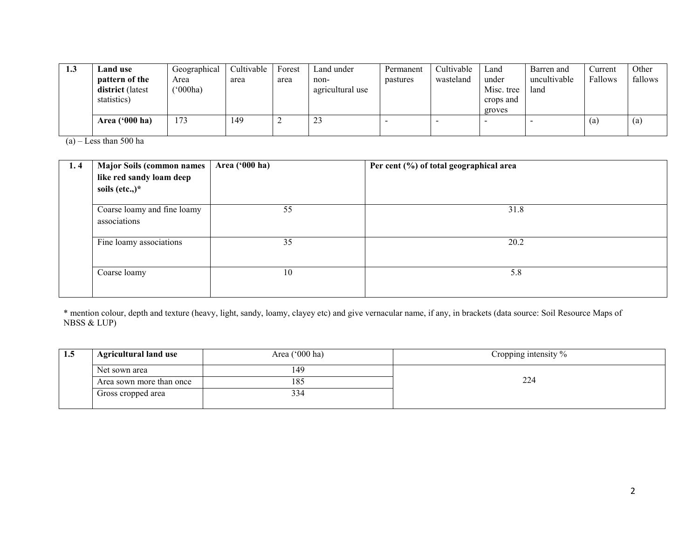| 1.3 | <b>Land</b> use  | Geographical | Cultivable | Forest | Land under       | Permanent | Cultivable | Land       | Barren and   | Current           | Other   |
|-----|------------------|--------------|------------|--------|------------------|-----------|------------|------------|--------------|-------------------|---------|
|     | pattern of the   | Area         | area       | area   | non-             | pastures  | wasteland  | under      | uncultivable | Fallows           | fallows |
|     | district (latest | (000ha)      |            |        | agricultural use |           |            | Misc. tree | land         |                   |         |
|     | statistics)      |              |            |        |                  |           |            | crops and  |              |                   |         |
|     |                  |              |            |        |                  |           |            | groves     |              |                   |         |
|     | Area $('000 ha)$ | 173          | 149        |        | رے               |           |            |            |              | $\left( a\right)$ | (a)     |
|     |                  |              |            |        |                  |           |            |            |              |                   |         |

(a) – Less than 500 ha

| 1.4 | <b>Major Soils (common names</b><br>like red sandy loam deep<br>soils (etc.,) $*$ | Area ('000 ha) | Per cent (%) of total geographical area |
|-----|-----------------------------------------------------------------------------------|----------------|-----------------------------------------|
|     | Coarse loamy and fine loamy<br>associations                                       | 55             | 31.8                                    |
|     | Fine loamy associations                                                           | 35             | 20.2                                    |
|     | Coarse loamy                                                                      | 10             | 5.8                                     |

\* mention colour, depth and texture (heavy, light, sandy, loamy, clayey etc) and give vernacular name, if any, in brackets (data source: Soil Resource Maps of NBSS & LUP)

| 1.5 | <b>Agricultural land use</b> | Area ('000 ha) | Cropping intensity % |
|-----|------------------------------|----------------|----------------------|
|     | 149<br>Net sown area         |                |                      |
|     | Area sown more than once     | 185            | 224                  |
|     | Gross cropped area           | 334            |                      |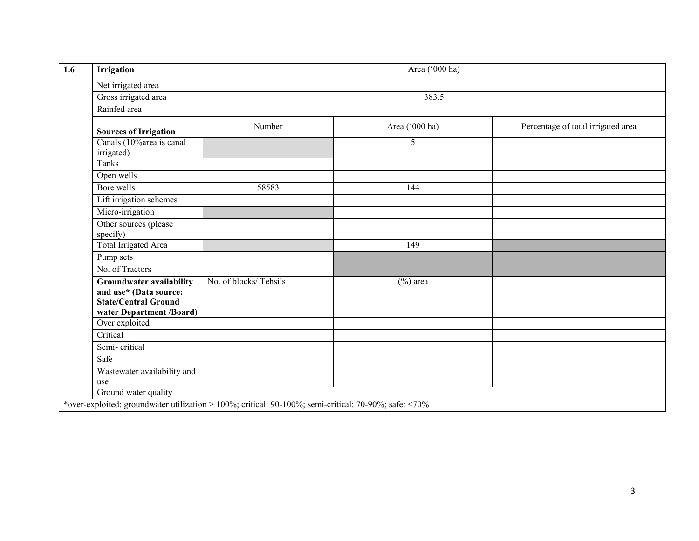| 1.6 | Irrigation                                                                                                           |                                                                                                       | Area ('000 ha) |                                    |
|-----|----------------------------------------------------------------------------------------------------------------------|-------------------------------------------------------------------------------------------------------|----------------|------------------------------------|
|     | Net irrigated area                                                                                                   |                                                                                                       |                |                                    |
|     | Gross irrigated area                                                                                                 |                                                                                                       | 383.5          |                                    |
|     | Rainfed area                                                                                                         |                                                                                                       |                |                                    |
|     | <b>Sources of Irrigation</b>                                                                                         | Number                                                                                                | Area ('000 ha) | Percentage of total irrigated area |
|     | Canals (10% area is canal<br>irrigated)                                                                              |                                                                                                       | 5              |                                    |
|     | Tanks                                                                                                                |                                                                                                       |                |                                    |
|     | Open wells                                                                                                           |                                                                                                       |                |                                    |
|     | Bore wells                                                                                                           | 58583                                                                                                 | 144            |                                    |
|     | Lift irrigation schemes                                                                                              |                                                                                                       |                |                                    |
|     | Micro-irrigation                                                                                                     |                                                                                                       |                |                                    |
|     | Other sources (please<br>specify)                                                                                    |                                                                                                       |                |                                    |
|     | Total Irrigated Area                                                                                                 |                                                                                                       | 149            |                                    |
|     | Pump sets                                                                                                            |                                                                                                       |                |                                    |
|     | No. of Tractors                                                                                                      |                                                                                                       |                |                                    |
|     | <b>Groundwater availability</b><br>and use* (Data source:<br><b>State/Central Ground</b><br>water Department /Board) | No. of blocks/Tehsils                                                                                 | $(\%)$ area    |                                    |
|     | Over exploited                                                                                                       |                                                                                                       |                |                                    |
|     | Critical                                                                                                             |                                                                                                       |                |                                    |
|     | Semi-critical                                                                                                        |                                                                                                       |                |                                    |
|     | Safe                                                                                                                 |                                                                                                       |                |                                    |
|     | Wastewater availability and<br>use                                                                                   |                                                                                                       |                |                                    |
|     | Ground water quality                                                                                                 |                                                                                                       |                |                                    |
|     |                                                                                                                      | *over-exploited: groundwater utilization > 100%; critical: 90-100%; semi-critical: 70-90%; safe: <70% |                |                                    |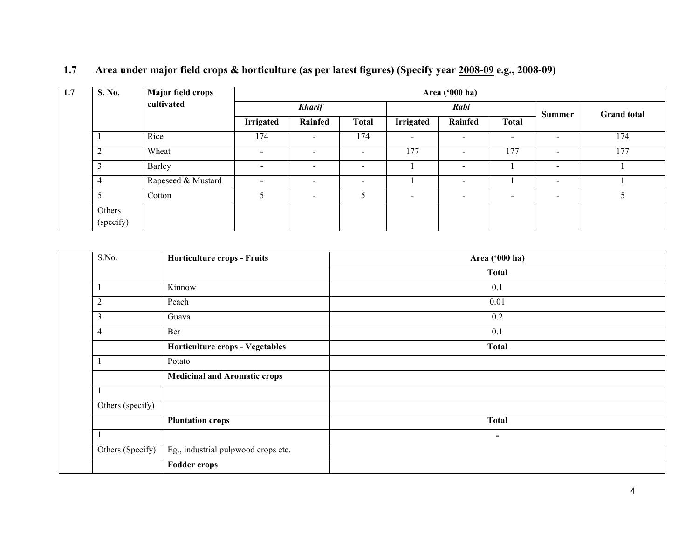| 1.7<br><b>S. No.</b> | <b>Major field crops</b> |                          | Area ('000 ha)           |                          |                          |                |                          |                          |                    |  |  |
|----------------------|--------------------------|--------------------------|--------------------------|--------------------------|--------------------------|----------------|--------------------------|--------------------------|--------------------|--|--|
|                      | cultivated               | <b>Kharif</b>            |                          |                          | Rabi                     |                |                          |                          | <b>Grand</b> total |  |  |
|                      |                          | <b>Irrigated</b>         | Rainfed                  | <b>Total</b>             | <b>Irrigated</b>         | Rainfed        | <b>Total</b>             | <b>Summer</b>            |                    |  |  |
|                      | Rice                     | 174                      | $\blacksquare$           | 174                      | $\overline{\phantom{a}}$ |                | $\overline{\phantom{a}}$ | $\sim$                   | 174                |  |  |
| $\bigcap$            | Wheat                    | $\blacksquare$           | $\overline{\phantom{a}}$ | $\overline{\phantom{a}}$ | 177                      |                | 177                      | $\overline{\phantom{a}}$ | 177                |  |  |
|                      | Barley                   | $\overline{\phantom{0}}$ | $\sim$                   | $\sim$                   |                          |                |                          | $\sim$                   |                    |  |  |
| 4                    | Rapeseed & Mustard       | $\blacksquare$           | $\overline{\phantom{0}}$ | $\overline{\phantom{0}}$ |                          | $\blacksquare$ |                          | $\overline{\phantom{a}}$ |                    |  |  |
|                      | Cotton                   | 5                        | $\sim$                   |                          | $\overline{\phantom{a}}$ |                | $\overline{\phantom{0}}$ | $\sim$                   |                    |  |  |
| Others<br>(specify)  |                          |                          |                          |                          |                          |                |                          |                          |                    |  |  |

### 1.7 Area under major field crops & horticulture (as per latest figures) (Specify year 2008-09 e.g., 2008-09)

| S.No.            | <b>Horticulture crops - Fruits</b>  | Area ('000 ha) |
|------------------|-------------------------------------|----------------|
|                  |                                     | <b>Total</b>   |
|                  | Kinnow                              | 0.1            |
| $\overline{c}$   | Peach                               | 0.01           |
| 3                | Guava                               | 0.2            |
| 4                | Ber                                 | 0.1            |
|                  | Horticulture crops - Vegetables     | <b>Total</b>   |
|                  | Potato                              |                |
|                  | <b>Medicinal and Aromatic crops</b> |                |
|                  |                                     |                |
| Others (specify) |                                     |                |
|                  | <b>Plantation crops</b>             | <b>Total</b>   |
|                  |                                     | $\blacksquare$ |
| Others (Specify) | Eg., industrial pulpwood crops etc. |                |
|                  | <b>Fodder crops</b>                 |                |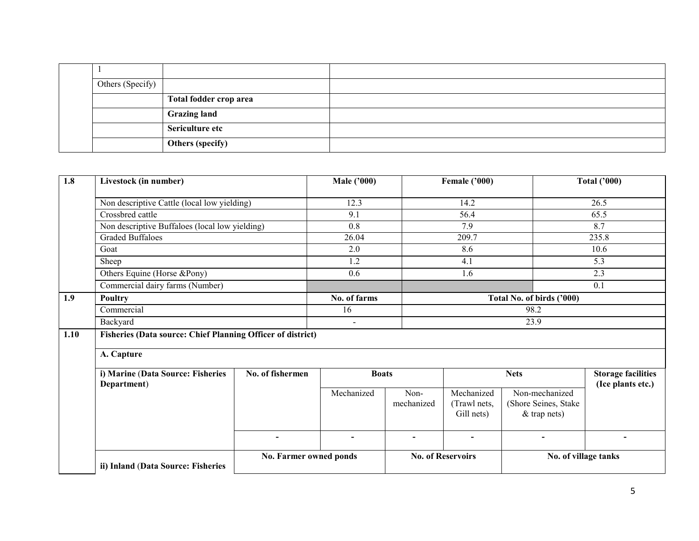| Others (Specify) |                        |  |
|------------------|------------------------|--|
|                  | Total fodder crop area |  |
|                  | <b>Grazing land</b>    |  |
|                  | Sericulture etc        |  |
|                  | Others (specify)       |  |

| 1.8  | Livestock (in number)                                              |                        | <b>Male ('000)</b> |                          | <b>Female ('000)</b>                     |                                                          | <b>Total ('000)</b>                            |  |
|------|--------------------------------------------------------------------|------------------------|--------------------|--------------------------|------------------------------------------|----------------------------------------------------------|------------------------------------------------|--|
|      | Non descriptive Cattle (local low yielding)                        |                        | 12.3               |                          | 14.2                                     | 26.5                                                     |                                                |  |
|      | Crossbred cattle                                                   |                        | 9.1                |                          | 56.4                                     |                                                          | 65.5                                           |  |
|      | Non descriptive Buffaloes (local low yielding)                     |                        | 0.8                |                          | 7.9                                      |                                                          | 8.7                                            |  |
|      | <b>Graded Buffaloes</b>                                            |                        | 26.04              |                          | 209.7                                    |                                                          | 235.8                                          |  |
|      | Goat                                                               |                        | 2.0                |                          | 8.6                                      |                                                          | 10.6                                           |  |
|      | Sheep                                                              |                        | 1.2                |                          | 4.1                                      |                                                          | 5.3                                            |  |
|      | Others Equine (Horse &Pony)                                        |                        | 0.6                |                          | 1.6                                      |                                                          | 2.3                                            |  |
|      | Commercial dairy farms (Number)                                    |                        |                    |                          |                                          |                                                          | 0.1                                            |  |
| 1.9  | Poultry                                                            |                        | No. of farms       |                          |                                          | Total No. of birds ('000)                                |                                                |  |
|      | Commercial                                                         | 16                     |                    |                          |                                          | 98.2                                                     |                                                |  |
|      | Backyard                                                           |                        | ۳                  |                          |                                          | 23.9                                                     |                                                |  |
| 1.10 | <b>Fisheries (Data source: Chief Planning Officer of district)</b> |                        |                    |                          |                                          |                                                          |                                                |  |
|      | A. Capture                                                         |                        |                    |                          |                                          |                                                          |                                                |  |
|      | i) Marine (Data Source: Fisheries<br>Department)                   | No. of fishermen       | <b>Boats</b>       |                          | <b>Nets</b>                              |                                                          | <b>Storage facilities</b><br>(Ice plants etc.) |  |
|      |                                                                    |                        | Mechanized         | Non-<br>mechanized       | Mechanized<br>(Trawl nets,<br>Gill nets) | Non-mechanized<br>(Shore Seines, Stake<br>$&$ trap nets) |                                                |  |
|      | $\blacksquare$                                                     |                        | $\blacksquare$     |                          | $\blacksquare$                           | $\blacksquare$                                           |                                                |  |
|      | ii) Inland (Data Source: Fisheries                                 | No. Farmer owned ponds |                    | <b>No. of Reservoirs</b> |                                          | No. of village tanks                                     |                                                |  |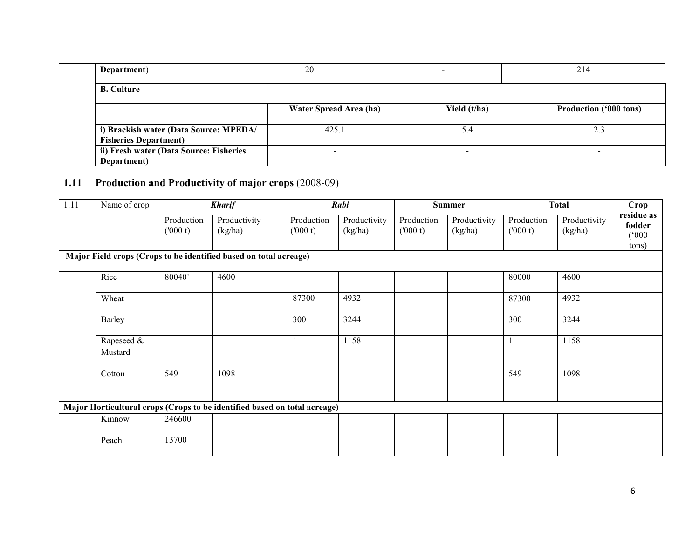| Department)                                                            | 20                     |              | 214                           |
|------------------------------------------------------------------------|------------------------|--------------|-------------------------------|
| <b>B.</b> Culture                                                      |                        |              |                               |
|                                                                        | Water Spread Area (ha) | Yield (t/ha) | <b>Production ('000 tons)</b> |
| i) Brackish water (Data Source: MPEDA/<br><b>Fisheries Department)</b> | 425.1                  | 5.4          | 2.3                           |
| ii) Fresh water (Data Source: Fisheries<br>Department)                 |                        |              |                               |

# 1.11 Production and Productivity of major crops (2008-09)

| 1.11 | Name of crop          |                       | <b>Kharif</b>                                                             |                       | Rabi                    | <b>Summer</b>         |                         | <b>Total</b>          |                         | Crop                                   |
|------|-----------------------|-----------------------|---------------------------------------------------------------------------|-----------------------|-------------------------|-----------------------|-------------------------|-----------------------|-------------------------|----------------------------------------|
|      |                       | Production<br>(000 t) | Productivity<br>(kg/ha)                                                   | Production<br>(000 t) | Productivity<br>(kg/ha) | Production<br>(000 t) | Productivity<br>(kg/ha) | Production<br>(000 t) | Productivity<br>(kg/ha) | residue as<br>fodder<br>(000)<br>tons) |
|      |                       |                       | Major Field crops (Crops to be identified based on total acreage)         |                       |                         |                       |                         |                       |                         |                                        |
|      | Rice                  | 80040                 | 4600                                                                      |                       |                         |                       |                         | 80000                 | 4600                    |                                        |
|      | Wheat                 |                       |                                                                           | 87300                 | 4932                    |                       |                         | 87300                 | 4932                    |                                        |
|      | Barley                |                       |                                                                           | 300                   | 3244                    |                       |                         | 300                   | 3244                    |                                        |
|      | Rapeseed &<br>Mustard |                       |                                                                           |                       | 1158                    |                       |                         |                       | 1158                    |                                        |
|      | Cotton                | 549                   | 1098                                                                      |                       |                         |                       |                         | 549                   | 1098                    |                                        |
|      |                       |                       | Major Horticultural crops (Crops to be identified based on total acreage) |                       |                         |                       |                         |                       |                         |                                        |
|      | Kinnow                | 246600                |                                                                           |                       |                         |                       |                         |                       |                         |                                        |
|      | Peach                 | 13700                 |                                                                           |                       |                         |                       |                         |                       |                         |                                        |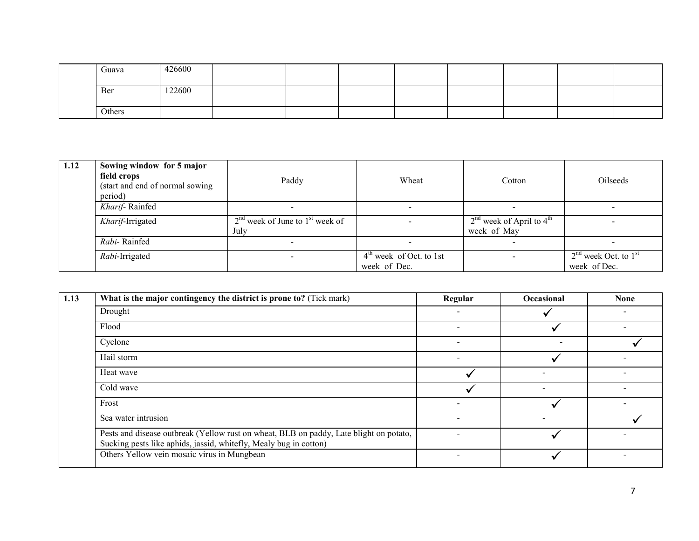| Guava  | 426600 |  |  |  |  |
|--------|--------|--|--|--|--|
| Ber    | 122600 |  |  |  |  |
| Others |        |  |  |  |  |

| Sowing window for 5 major<br>field crops<br>(start and end of normal sowing)<br>period) | Paddy                                       | Wheat                     | Cotton                                      | Oilseeds                                 |
|-----------------------------------------------------------------------------------------|---------------------------------------------|---------------------------|---------------------------------------------|------------------------------------------|
| Kharif-Rainfed                                                                          |                                             | $\overline{\phantom{0}}$  | $\overline{\phantom{a}}$                    |                                          |
| Kharif-Irrigated                                                                        | $2nd$ week of June to $1st$ week of<br>July |                           | $2nd$ week of April to $4th$<br>week of May |                                          |
| Rabi-Rainfed                                                                            |                                             | $\overline{\phantom{a}}$  | $\sim$                                      |                                          |
| Rabi-Irrigated                                                                          |                                             | $4th$ week of Oct. to 1st | $\overline{\phantom{a}}$                    | $2nd$ week Oct. to $1st$<br>week of Dec. |
|                                                                                         |                                             |                           | week of Dec.                                |                                          |

| 1.13 | What is the major contingency the district is prone to? (Tick mark)                                                                                         | Regular                  | <b>Occasional</b> | <b>None</b> |
|------|-------------------------------------------------------------------------------------------------------------------------------------------------------------|--------------------------|-------------------|-------------|
|      | Drought                                                                                                                                                     | -                        |                   |             |
|      | Flood                                                                                                                                                       | -                        |                   |             |
|      | Cyclone                                                                                                                                                     | $\overline{\phantom{a}}$ |                   |             |
|      | Hail storm                                                                                                                                                  |                          |                   |             |
|      | Heat wave                                                                                                                                                   |                          |                   |             |
|      | Cold wave                                                                                                                                                   |                          |                   |             |
|      | Frost                                                                                                                                                       | $\overline{\phantom{0}}$ |                   |             |
|      | Sea water intrusion                                                                                                                                         | $\overline{\phantom{0}}$ |                   |             |
|      | Pests and disease outbreak (Yellow rust on wheat, BLB on paddy, Late blight on potato,<br>Sucking pests like aphids, jassid, whitefly, Mealy bug in cotton) |                          |                   |             |
|      | Others Yellow vein mosaic virus in Mungbean                                                                                                                 |                          |                   |             |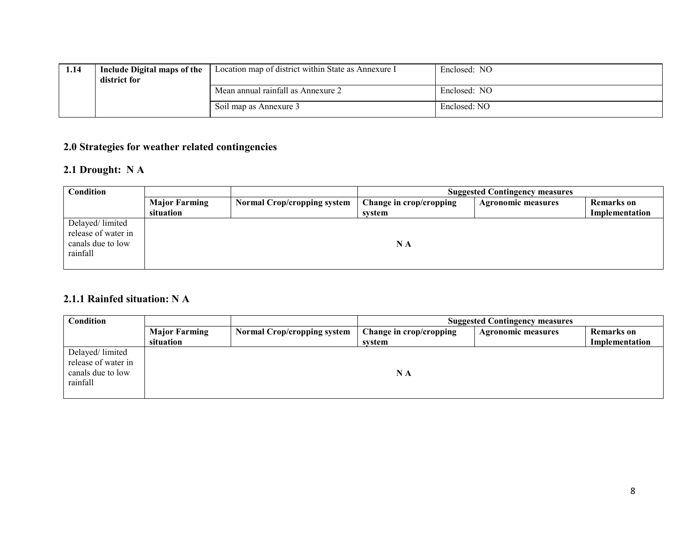| 1.14 | Include Digital maps of the<br>district for | Location map of district within State as Annexure I | Enclosed: NO |
|------|---------------------------------------------|-----------------------------------------------------|--------------|
|      |                                             | Mean annual rainfall as Annexure 2                  | Enclosed: NO |
|      |                                             | Soil map as Annexure 3                              | Enclosed: NO |

### 2.0 Strategies for weather related contingencies

## 2.1 Drought: N A

| <b>Condition</b>                                                        |                      | <b>Suggested Contingency measures</b> |                         |                           |                   |
|-------------------------------------------------------------------------|----------------------|---------------------------------------|-------------------------|---------------------------|-------------------|
|                                                                         | <b>Major Farming</b> | <b>Normal Crop/cropping system</b>    | Change in crop/cropping | <b>Agronomic measures</b> | <b>Remarks</b> on |
|                                                                         | situation            |                                       | svstem                  |                           | Implementation    |
| Delayed/limited<br>release of water in<br>canals due to low<br>rainfall |                      |                                       | N A                     |                           |                   |

## 2.1.1 Rainfed situation: N A

| Condition                                                               |                      |                                    | <b>Suggested Contingency measures</b> |                           |                   |
|-------------------------------------------------------------------------|----------------------|------------------------------------|---------------------------------------|---------------------------|-------------------|
|                                                                         | <b>Major Farming</b> | <b>Normal Crop/cropping system</b> | Change in crop/cropping               | <b>Agronomic measures</b> | <b>Remarks</b> on |
|                                                                         | situation            |                                    | system                                |                           | Implementation    |
| Delayed/limited<br>release of water in<br>canals due to low<br>rainfall |                      |                                    | ΝA                                    |                           |                   |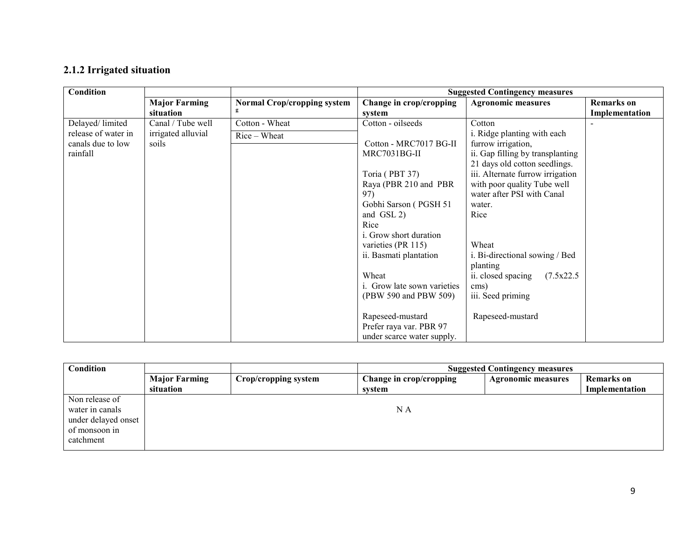# 2.1.2 Irrigated situation

| Condition           |                      |                                    | <b>Suggested Contingency measures</b> |                                  |                   |
|---------------------|----------------------|------------------------------------|---------------------------------------|----------------------------------|-------------------|
|                     | <b>Major Farming</b> | <b>Normal Crop/cropping system</b> | Change in crop/cropping               | <b>Agronomic measures</b>        | <b>Remarks</b> on |
|                     | situation            |                                    | system                                |                                  | Implementation    |
| Delayed/limited     | Canal / Tube well    | Cotton - Wheat                     | Cotton - oilseeds                     | Cotton                           |                   |
| release of water in | irrigated alluvial   | Rice – Wheat                       |                                       | i. Ridge planting with each      |                   |
| canals due to low   | soils                |                                    | Cotton - MRC7017 BG-II                | furrow irrigation,               |                   |
| rainfall            |                      |                                    | MRC7031BG-II                          | ii. Gap filling by transplanting |                   |
|                     |                      |                                    |                                       | 21 days old cotton seedlings.    |                   |
|                     |                      |                                    | Toria (PBT 37)                        | iii. Alternate furrow irrigation |                   |
|                     |                      |                                    | Raya (PBR 210 and PBR                 | with poor quality Tube well      |                   |
|                     |                      |                                    | 97)                                   | water after PSI with Canal       |                   |
|                     |                      |                                    | Gobhi Sarson (PGSH 51                 | water.                           |                   |
|                     |                      |                                    | and GSL 2)                            | Rice                             |                   |
|                     |                      |                                    | Rice                                  |                                  |                   |
|                     |                      |                                    | <i>i.</i> Grow short duration         |                                  |                   |
|                     |                      |                                    | varieties (PR 115)                    | Wheat                            |                   |
|                     |                      |                                    | ii. Basmati plantation                | i. Bi-directional sowing / Bed   |                   |
|                     |                      |                                    |                                       | planting                         |                   |
|                     |                      |                                    | Wheat                                 | ii. closed spacing<br>(7.5x22.5  |                   |
|                     |                      |                                    | <i>i.</i> Grow late sown varieties    | cms)                             |                   |
|                     |                      |                                    | (PBW 590 and PBW 509)                 | iii. Seed priming                |                   |
|                     |                      |                                    |                                       |                                  |                   |
|                     |                      |                                    | Rapeseed-mustard                      | Rapeseed-mustard                 |                   |
|                     |                      |                                    | Prefer raya var. PBR 97               |                                  |                   |
|                     |                      |                                    | under scarce water supply.            |                                  |                   |

| <b>Condition</b>    |                      | <b>Suggested Contingency measures</b> |                         |                           |                   |
|---------------------|----------------------|---------------------------------------|-------------------------|---------------------------|-------------------|
|                     | <b>Major Farming</b> | Crop/cropping system                  | Change in crop/cropping | <b>Agronomic measures</b> | <b>Remarks</b> on |
|                     | situation            |                                       | svstem                  |                           | Implementation    |
| Non release of      |                      |                                       |                         |                           |                   |
| water in canals     |                      |                                       | ΝA                      |                           |                   |
| under delayed onset |                      |                                       |                         |                           |                   |
| of monsoon in       |                      |                                       |                         |                           |                   |
| catchment           |                      |                                       |                         |                           |                   |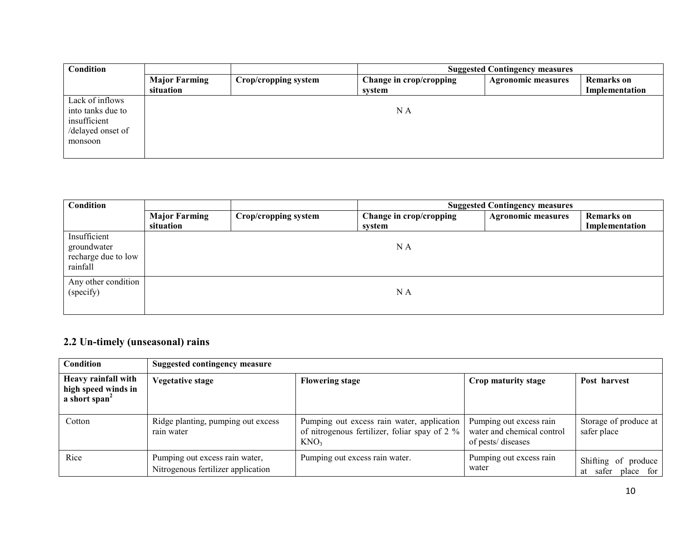| <b>Condition</b>                                                                     |                                   |                      | <b>Suggested Contingency measures</b> |                           |                                     |  |
|--------------------------------------------------------------------------------------|-----------------------------------|----------------------|---------------------------------------|---------------------------|-------------------------------------|--|
|                                                                                      | <b>Major Farming</b><br>situation | Crop/cropping system | Change in crop/cropping<br>system     | <b>Agronomic measures</b> | <b>Remarks</b> on<br>Implementation |  |
| Lack of inflows<br>into tanks due to<br>insufficient<br>/delayed onset of<br>monsoon |                                   |                      | N A                                   |                           |                                     |  |

| Condition                                                      |                      |                      |                         | <b>Suggested Contingency measures</b> |                   |
|----------------------------------------------------------------|----------------------|----------------------|-------------------------|---------------------------------------|-------------------|
|                                                                | <b>Major Farming</b> | Crop/cropping system | Change in crop/cropping | <b>Agronomic measures</b>             | <b>Remarks</b> on |
| Insufficient<br>groundwater<br>recharge due to low<br>rainfall | situation            |                      | system<br>N A           |                                       | Implementation    |
| Any other condition<br>(specify)                               |                      |                      | N A                     |                                       |                   |

### 2.2 Un-timely (unseasonal) rains

| Condition                                                               | Suggested contingency measure                                        |                                                                                                                 |                                                                            |                                           |  |  |
|-------------------------------------------------------------------------|----------------------------------------------------------------------|-----------------------------------------------------------------------------------------------------------------|----------------------------------------------------------------------------|-------------------------------------------|--|--|
| Heavy rainfall with<br>high speed winds in<br>a short span <sup>2</sup> | <b>Vegetative stage</b>                                              | <b>Flowering stage</b>                                                                                          | Crop maturity stage                                                        | Post harvest                              |  |  |
| Cotton                                                                  | Ridge planting, pumping out excess<br>rain water                     | Pumping out excess rain water, application<br>of nitrogenous fertilizer, foliar spay of 2 %<br>KNO <sub>3</sub> | Pumping out excess rain<br>water and chemical control<br>of pests/diseases | Storage of produce at<br>safer place      |  |  |
| Rice                                                                    | Pumping out excess rain water,<br>Nitrogenous fertilizer application | Pumping out excess rain water.                                                                                  | Pumping out excess rain<br>water                                           | Shifting of produce<br>at safer place for |  |  |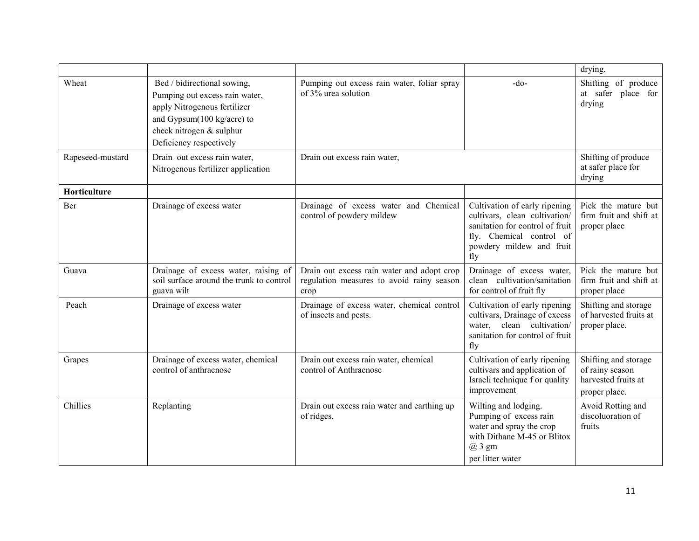|                  |                                                                                                                                                                                    |                                                                                                 |                                                                                                                                                                  | drying.                                                                         |
|------------------|------------------------------------------------------------------------------------------------------------------------------------------------------------------------------------|-------------------------------------------------------------------------------------------------|------------------------------------------------------------------------------------------------------------------------------------------------------------------|---------------------------------------------------------------------------------|
| Wheat            | Bed / bidirectional sowing,<br>Pumping out excess rain water,<br>apply Nitrogenous fertilizer<br>and Gypsum(100 kg/acre) to<br>check nitrogen & sulphur<br>Deficiency respectively | Pumping out excess rain water, foliar spray<br>of 3% urea solution                              | $-do-$                                                                                                                                                           | Shifting of produce<br>at safer place for<br>drying                             |
| Rapeseed-mustard | Drain out excess rain water,<br>Nitrogenous fertilizer application                                                                                                                 | Drain out excess rain water,                                                                    |                                                                                                                                                                  | Shifting of produce<br>at safer place for<br>drying                             |
| Horticulture     |                                                                                                                                                                                    |                                                                                                 |                                                                                                                                                                  |                                                                                 |
| Ber              | Drainage of excess water                                                                                                                                                           | Drainage of excess water and Chemical<br>control of powdery mildew                              | Cultivation of early ripening<br>cultivars, clean cultivation/<br>sanitation for control of fruit<br>fly. Chemical control of<br>powdery mildew and fruit<br>fly | Pick the mature but<br>firm fruit and shift at<br>proper place                  |
| Guava            | Drainage of excess water, raising of<br>soil surface around the trunk to control<br>guava wilt                                                                                     | Drain out excess rain water and adopt crop<br>regulation measures to avoid rainy season<br>crop | Drainage of excess water,<br>clean cultivation/sanitation<br>for control of fruit fly                                                                            | Pick the mature but<br>firm fruit and shift at<br>proper place                  |
| Peach            | Drainage of excess water                                                                                                                                                           | Drainage of excess water, chemical control<br>of insects and pests.                             | Cultivation of early ripening<br>cultivars, Drainage of excess<br>water, clean cultivation/<br>sanitation for control of fruit<br>fly                            | Shifting and storage<br>of harvested fruits at<br>proper place.                 |
| Grapes           | Drainage of excess water, chemical<br>control of anthracnose                                                                                                                       | Drain out excess rain water, chemical<br>control of Anthracnose                                 | Cultivation of early ripening<br>cultivars and application of<br>Israeli technique f or quality<br>improvement                                                   | Shifting and storage<br>of rainy season<br>harvested fruits at<br>proper place. |
| Chillies         | Replanting                                                                                                                                                                         | Drain out excess rain water and earthing up<br>of ridges.                                       | Wilting and lodging.<br>Pumping of excess rain<br>water and spray the crop<br>with Dithane M-45 or Blitox<br>@ 3 gm<br>per litter water                          | Avoid Rotting and<br>discoluoration of<br>fruits                                |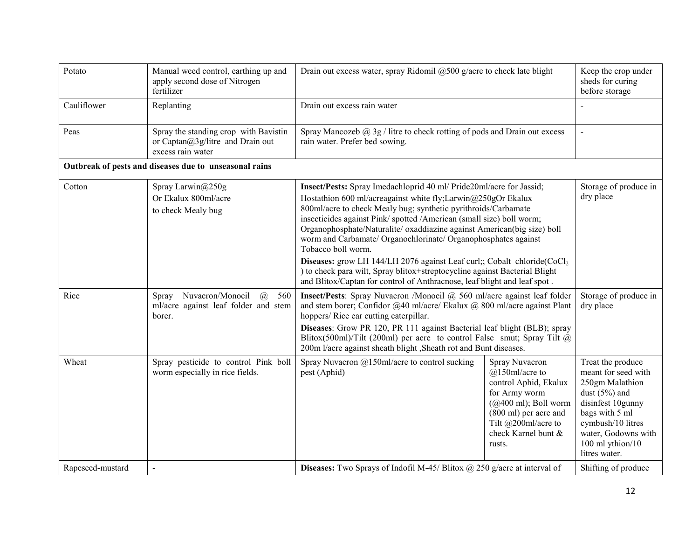| Potato                                                 | Manual weed control, earthing up and<br>apply second dose of Nitrogen<br>fertilizer                 | Drain out excess water, spray Ridomil $@500$ g/acre to check late blight                                                                                                                                                                                                                                                                                                                                                                                                                                                                                                                                                                                                                          |                                                                                                                                                                                                   | Keep the crop under<br>sheds for curing<br>before storage                                                                                                                                              |
|--------------------------------------------------------|-----------------------------------------------------------------------------------------------------|---------------------------------------------------------------------------------------------------------------------------------------------------------------------------------------------------------------------------------------------------------------------------------------------------------------------------------------------------------------------------------------------------------------------------------------------------------------------------------------------------------------------------------------------------------------------------------------------------------------------------------------------------------------------------------------------------|---------------------------------------------------------------------------------------------------------------------------------------------------------------------------------------------------|--------------------------------------------------------------------------------------------------------------------------------------------------------------------------------------------------------|
| Cauliflower                                            | Replanting                                                                                          | Drain out excess rain water                                                                                                                                                                                                                                                                                                                                                                                                                                                                                                                                                                                                                                                                       |                                                                                                                                                                                                   |                                                                                                                                                                                                        |
| Peas                                                   | Spray the standing crop with Bavistin<br>or Captan@3g/litre and Drain out<br>excess rain water      | Spray Mancozeb $@$ 3g / litre to check rotting of pods and Drain out excess<br>rain water. Prefer bed sowing.                                                                                                                                                                                                                                                                                                                                                                                                                                                                                                                                                                                     |                                                                                                                                                                                                   | $\blacksquare$                                                                                                                                                                                         |
| Outbreak of pests and diseases due to unseasonal rains |                                                                                                     |                                                                                                                                                                                                                                                                                                                                                                                                                                                                                                                                                                                                                                                                                                   |                                                                                                                                                                                                   |                                                                                                                                                                                                        |
| Cotton                                                 | Spray Larwin@250g<br>Or Ekalux 800ml/acre<br>to check Mealy bug                                     | Insect/Pests: Spray Imedachloprid 40 ml/ Pride20ml/acre for Jassid;<br>Hostathion 600 ml/acreagainst white fly;Larwin@250gOr Ekalux<br>800ml/acre to check Mealy bug; synthetic pyrithroids/Carbamate<br>insecticides against Pink/ spotted /American (small size) boll worm;<br>Organophosphate/Naturalite/ oxaddiazine against American(big size) boll<br>worm and Carbamate/ Organochlorinate/ Organophosphates against<br>Tobacco boll worm.<br>Diseases: grow LH 144/LH 2076 against Leaf curl;; Cobalt chloride(CoCl <sub>2</sub><br>) to check para wilt, Spray blitox+streptocycline against Bacterial Blight<br>and Blitox/Captan for control of Anthracnose, leaf blight and leaf spot. |                                                                                                                                                                                                   | Storage of produce in<br>dry place                                                                                                                                                                     |
| Rice                                                   | Nuvacron/Monocil<br>$\mathcal{a}$<br>Spray<br>560<br>ml/acre against leaf folder and stem<br>borer. | Insect/Pests: Spray Nuvacron /Monocil @ 560 ml/acre against leaf folder<br>and stem borer; Confidor @40 ml/acre/ Ekalux @ 800 ml/acre against Plant<br>hoppers/Rice ear cutting caterpillar.<br>Diseases: Grow PR 120, PR 111 against Bacterial leaf blight (BLB); spray<br>Blitox(500ml)/Tilt (200ml) per acre to control False smut; Spray Tilt $\omega$<br>200m l/acre against sheath blight, Sheath rot and Bunt diseases.                                                                                                                                                                                                                                                                    |                                                                                                                                                                                                   | Storage of produce in<br>dry place                                                                                                                                                                     |
| Wheat                                                  | Spray pesticide to control Pink boll<br>worm especially in rice fields.                             | Spray Nuvacron $@150$ ml/acre to control sucking<br>pest (Aphid)                                                                                                                                                                                                                                                                                                                                                                                                                                                                                                                                                                                                                                  | Spray Nuvacron<br>$@150$ ml/acre to<br>control Aphid, Ekalux<br>for Army worm<br>$(Q400 \text{ ml})$ ; Boll worm<br>(800 ml) per acre and<br>Tilt @200ml/acre to<br>check Karnel bunt &<br>rusts. | Treat the produce<br>meant for seed with<br>250gm Malathion<br>dust $(5%)$ and<br>disinfest 10gunny<br>bags with 5 ml<br>cymbush/10 litres<br>water, Godowns with<br>100 ml ythion/10<br>litres water. |
| Rapeseed-mustard                                       |                                                                                                     | <b>Diseases:</b> Two Sprays of Indofil M-45/ Blitox $\omega$ 250 g/acre at interval of                                                                                                                                                                                                                                                                                                                                                                                                                                                                                                                                                                                                            |                                                                                                                                                                                                   | Shifting of produce                                                                                                                                                                                    |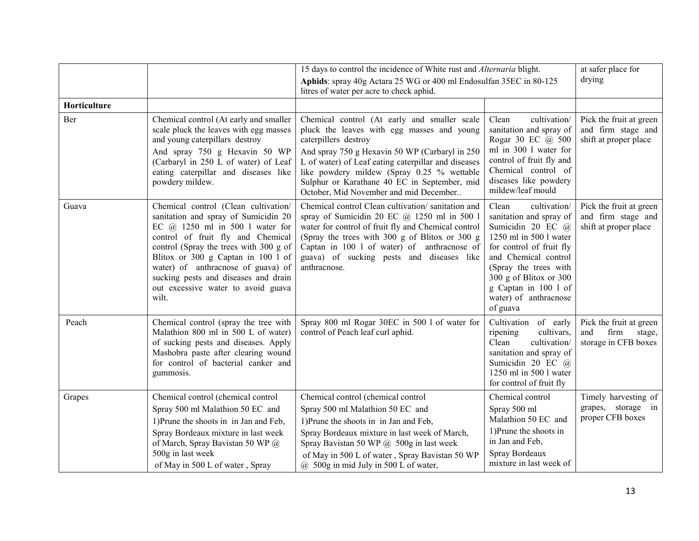|              |                                                                                                                                                                                                                                                                                                                                                                       | 15 days to control the incidence of White rust and Alternaria blight.                                                                                                                                                                                                                                                                                                |                                                                                                                                                                                                                                                                     | at safer place for                                                       |
|--------------|-----------------------------------------------------------------------------------------------------------------------------------------------------------------------------------------------------------------------------------------------------------------------------------------------------------------------------------------------------------------------|----------------------------------------------------------------------------------------------------------------------------------------------------------------------------------------------------------------------------------------------------------------------------------------------------------------------------------------------------------------------|---------------------------------------------------------------------------------------------------------------------------------------------------------------------------------------------------------------------------------------------------------------------|--------------------------------------------------------------------------|
|              |                                                                                                                                                                                                                                                                                                                                                                       | Aphids: spray 40g Actara 25 WG or 400 ml Endosulfan 35EC in 80-125<br>litres of water per acre to check aphid.                                                                                                                                                                                                                                                       |                                                                                                                                                                                                                                                                     | drying                                                                   |
| Horticulture |                                                                                                                                                                                                                                                                                                                                                                       |                                                                                                                                                                                                                                                                                                                                                                      |                                                                                                                                                                                                                                                                     |                                                                          |
| Ber          | Chemical control (At early and smaller<br>scale pluck the leaves with egg masses<br>and young caterpillars destroy<br>And spray 750 g Hexavin 50 WP<br>(Carbaryl in 250 L of water) of Leaf<br>eating caterpillar and diseases like<br>powdery mildew.                                                                                                                | Chemical control (At early and smaller scale<br>pluck the leaves with egg masses and young<br>caterpillers destroy<br>And spray 750 g Hexavin 50 WP (Carbaryl in 250)<br>L of water) of Leaf eating caterpillar and diseases<br>like powdery mildew (Spray 0.25 % wettable<br>Sulphur or Karathane 40 EC in September, mid<br>October, Mid November and mid December | cultivation/<br>Clean<br>sanitation and spray of<br>Rogar 30 EC @ 500<br>ml in 300 l water for<br>control of fruit fly and<br>Chemical control of<br>diseases like powdery<br>mildew/leaf mould                                                                     | Pick the fruit at green<br>and firm stage and<br>shift at proper place   |
| Guava        | Chemical control (Clean cultivation/<br>sanitation and spray of Sumicidin 20<br>EC $(a)$ 1250 ml in 500 l water for<br>control of fruit fly and Chemical<br>control (Spray the trees with 300 g of<br>Blitox or 300 g Captan in 100 l of<br>water) of anthracnose of guava) of<br>sucking pests and diseases and drain<br>out excessive water to avoid guava<br>wilt. | Chemical control Clean cultivation/sanitation and<br>spray of Sumicidin 20 EC $@$ 1250 ml in 500 1<br>water for control of fruit fly and Chemical control<br>(Spray the trees with 300 g of Blitox or 300 g<br>Captan in 100 1 of water) of anthracnose of<br>guava) of sucking pests and diseases like<br>anthracnose.                                              | Clean<br>cultivation/<br>sanitation and spray of<br>Sumicidin 20 EC @<br>1250 ml in 500 l water<br>for control of fruit fly<br>and Chemical control<br>(Spray the trees with<br>300 g of Blitox or 300<br>g Captan in 100 1 of<br>water) of anthracnose<br>of guava | Pick the fruit at green<br>and firm stage and<br>shift at proper place   |
| Peach        | Chemical control (spray the tree with<br>Malathion 800 ml in 500 L of water)<br>of sucking pests and diseases. Apply<br>Mashobra paste after clearing wound<br>for control of bacterial canker and<br>gummosis.                                                                                                                                                       | Spray 800 ml Rogar 30EC in 500 l of water for<br>control of Peach leaf curl aphid.                                                                                                                                                                                                                                                                                   | Cultivation of early<br>cultivars,<br>ripening<br>Clean<br>cultivation/<br>sanitation and spray of<br>Sumicidin 20 EC @<br>1250 ml in 500 l water<br>for control of fruit fly                                                                                       | Pick the fruit at green<br>and<br>firm<br>stage,<br>storage in CFB boxes |
| Grapes       | Chemical control (chemical control<br>Spray 500 ml Malathion 50 EC and<br>1) Prune the shoots in in Jan and Feb,<br>Spray Bordeaux mixture in last week<br>of March, Spray Bavistan 50 WP @<br>500g in last week<br>of May in 500 L of water, Spray                                                                                                                   | Chemical control (chemical control<br>Spray 500 ml Malathion 50 EC and<br>1) Prune the shoots in in Jan and Feb,<br>Spray Bordeaux mixture in last week of March,<br>Spray Bavistan 50 WP $(a)$ 500g in last week<br>of May in 500 L of water, Spray Bavistan 50 WP<br>$@$ 500g in mid July in 500 L of water,                                                       | Chemical control<br>Spray 500 ml<br>Malathion 50 EC and<br>1) Prune the shoots in<br>in Jan and Feb,<br>Spray Bordeaux<br>mixture in last week of                                                                                                                   | Timely harvesting of<br>grapes, storage in<br>proper CFB boxes           |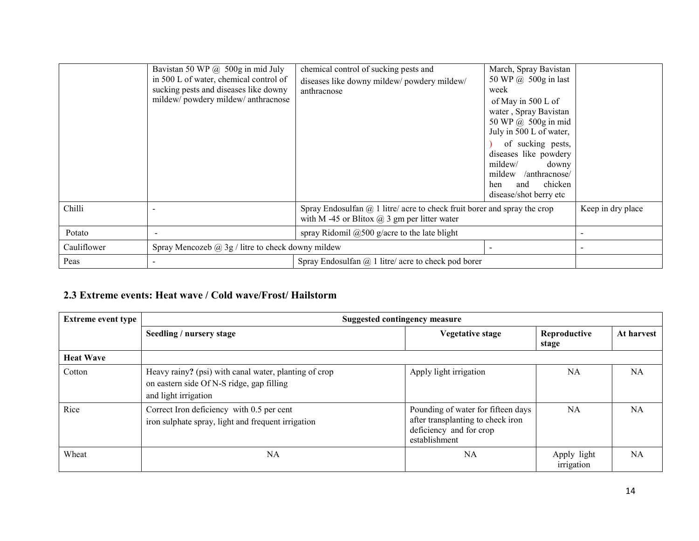|             | Bavistan 50 WP @ 500g in mid July<br>in 500 L of water, chemical control of<br>sucking pests and diseases like downy<br>mildew/powdery mildew/anthracnose | chemical control of sucking pests and<br>diseases like downy mildew/ powdery mildew/<br>anthracnose                                    | March, Spray Bavistan<br>50 WP $\omega$ 500g in last<br>week<br>of May in 500 L of<br>water, Spray Bavistan<br>50 WP @ 500g in mid<br>July in 500 L of water,<br>of sucking pests,<br>diseases like powdery<br>mildew/<br>downy<br>mildew<br>/anthracnose/<br>chicken<br>and<br>hen<br>disease/shot berry etc |                   |
|-------------|-----------------------------------------------------------------------------------------------------------------------------------------------------------|----------------------------------------------------------------------------------------------------------------------------------------|---------------------------------------------------------------------------------------------------------------------------------------------------------------------------------------------------------------------------------------------------------------------------------------------------------------|-------------------|
| Chilli      |                                                                                                                                                           | Spray Endosulfan $\omega$ 1 litre/ acre to check fruit borer and spray the crop<br>with M -45 or Blitox $\omega$ 3 gm per litter water |                                                                                                                                                                                                                                                                                                               | Keep in dry place |
| Potato      |                                                                                                                                                           | spray Ridomil $@500$ g/acre to the late blight                                                                                         |                                                                                                                                                                                                                                                                                                               |                   |
| Cauliflower | Spray Mencozeb $\omega$ 3g / litre to check downy mildew                                                                                                  |                                                                                                                                        |                                                                                                                                                                                                                                                                                                               |                   |
| Peas        |                                                                                                                                                           | Spray Endosulfan $\omega$ 1 litre/ acre to check pod borer                                                                             |                                                                                                                                                                                                                                                                                                               |                   |

# 2.3 Extreme events: Heat wave / Cold wave/Frost/ Hailstorm

| <b>Extreme event type</b> | Suggested contingency measure                                                                                              |                                                                                                                     |                           |            |  |
|---------------------------|----------------------------------------------------------------------------------------------------------------------------|---------------------------------------------------------------------------------------------------------------------|---------------------------|------------|--|
|                           | Seedling / nursery stage                                                                                                   | <b>Vegetative stage</b>                                                                                             | Reproductive<br>stage     | At harvest |  |
| <b>Heat Wave</b>          |                                                                                                                            |                                                                                                                     |                           |            |  |
| Cotton                    | Heavy rainy? (psi) with canal water, planting of crop<br>on eastern side Of N-S ridge, gap filling<br>and light irrigation | Apply light irrigation                                                                                              | NA.                       | <b>NA</b>  |  |
| Rice                      | Correct Iron deficiency with 0.5 per cent<br>iron sulphate spray, light and frequent irrigation                            | Pounding of water for fifteen days<br>after transplanting to check iron<br>deficiency and for crop<br>establishment | NA                        | NA         |  |
| Wheat                     | NA                                                                                                                         | <b>NA</b>                                                                                                           | Apply light<br>irrigation | <b>NA</b>  |  |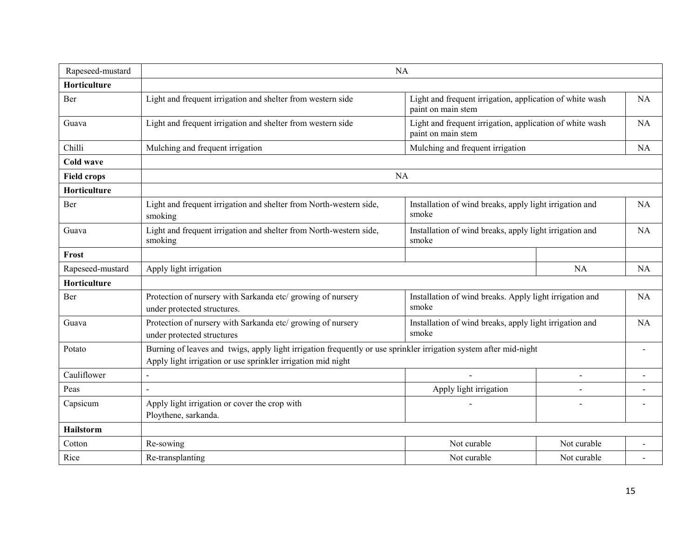| Rapeseed-mustard    | <b>NA</b>                                                                                                                                                                         |                                                                                |                |                |
|---------------------|-----------------------------------------------------------------------------------------------------------------------------------------------------------------------------------|--------------------------------------------------------------------------------|----------------|----------------|
| <b>Horticulture</b> |                                                                                                                                                                                   |                                                                                |                |                |
| Ber                 | Light and frequent irrigation and shelter from western side                                                                                                                       | Light and frequent irrigation, application of white wash<br>paint on main stem |                | <b>NA</b>      |
| Guava               | Light and frequent irrigation and shelter from western side                                                                                                                       | Light and frequent irrigation, application of white wash<br>paint on main stem |                | <b>NA</b>      |
| Chilli              | Mulching and frequent irrigation                                                                                                                                                  | Mulching and frequent irrigation                                               |                | <b>NA</b>      |
| Cold wave           |                                                                                                                                                                                   |                                                                                |                |                |
| <b>Field crops</b>  |                                                                                                                                                                                   | <b>NA</b>                                                                      |                |                |
| <b>Horticulture</b> |                                                                                                                                                                                   |                                                                                |                |                |
| Ber                 | Light and frequent irrigation and shelter from North-western side,<br>smoking                                                                                                     | Installation of wind breaks, apply light irrigation and<br>smoke               |                | <b>NA</b>      |
| Guava               | Light and frequent irrigation and shelter from North-western side,<br>smoking                                                                                                     | Installation of wind breaks, apply light irrigation and<br>smoke               |                | <b>NA</b>      |
| Frost               |                                                                                                                                                                                   |                                                                                |                |                |
| Rapeseed-mustard    | Apply light irrigation                                                                                                                                                            | NA                                                                             |                | <b>NA</b>      |
| Horticulture        |                                                                                                                                                                                   |                                                                                |                |                |
| Ber                 | Protection of nursery with Sarkanda etc/ growing of nursery<br>under protected structures.                                                                                        | Installation of wind breaks. Apply light irrigation and<br>smoke               |                | <b>NA</b>      |
| Guava               | Protection of nursery with Sarkanda etc/ growing of nursery<br>under protected structures                                                                                         | Installation of wind breaks, apply light irrigation and<br>smoke               |                | <b>NA</b>      |
| Potato              | Burning of leaves and twigs, apply light irrigation frequently or use sprinkler irrigation system after mid-night<br>Apply light irrigation or use sprinkler irrigation mid night | $\blacksquare$                                                                 |                |                |
| Cauliflower         |                                                                                                                                                                                   | L.                                                                             | $\overline{a}$ | $\overline{a}$ |
| Peas                |                                                                                                                                                                                   | Apply light irrigation                                                         |                |                |
| Capsicum            | Apply light irrigation or cover the crop with<br>Ploythene, sarkanda.                                                                                                             |                                                                                |                |                |
| <b>Hailstorm</b>    |                                                                                                                                                                                   |                                                                                |                |                |
| Cotton              | Re-sowing                                                                                                                                                                         | Not curable                                                                    | Not curable    |                |
| Rice                | Re-transplanting                                                                                                                                                                  | Not curable                                                                    | Not curable    |                |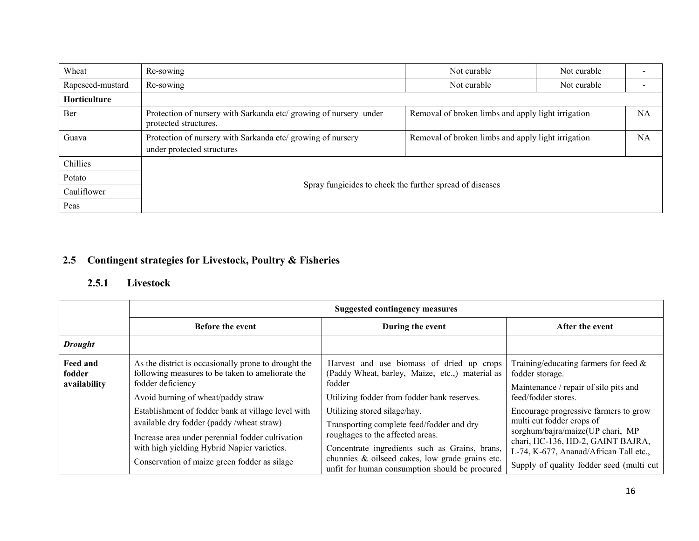| Wheat            | Re-sowing                                                                                  | Not curable                                        | Not curable |           |  |
|------------------|--------------------------------------------------------------------------------------------|----------------------------------------------------|-------------|-----------|--|
| Rapeseed-mustard | Re-sowing                                                                                  | Not curable                                        | Not curable |           |  |
| Horticulture     |                                                                                            |                                                    |             |           |  |
| Ber              | Protection of nursery with Sarkanda etc/ growing of nursery under<br>protected structures. | Removal of broken limbs and apply light irrigation |             | <b>NA</b> |  |
| Guava            | Protection of nursery with Sarkanda etc/ growing of nursery<br>under protected structures  | Removal of broken limbs and apply light irrigation |             | <b>NA</b> |  |
| Chillies         |                                                                                            |                                                    |             |           |  |
| Potato           |                                                                                            |                                                    |             |           |  |
| Cauliflower      | Spray fungicides to check the further spread of diseases                                   |                                                    |             |           |  |
| Peas             |                                                                                            |                                                    |             |           |  |

# 2.5 Contingent strategies for Livestock, Poultry & Fisheries

### 2.5.1 Livestock

|                                    | <b>Suggested contingency measures</b>                                                                                                                                                                                                             |                                                                                                                                                                                                                                                                      |                                                                                                                                                                                                                                    |  |
|------------------------------------|---------------------------------------------------------------------------------------------------------------------------------------------------------------------------------------------------------------------------------------------------|----------------------------------------------------------------------------------------------------------------------------------------------------------------------------------------------------------------------------------------------------------------------|------------------------------------------------------------------------------------------------------------------------------------------------------------------------------------------------------------------------------------|--|
|                                    | <b>Before the event</b>                                                                                                                                                                                                                           | During the event                                                                                                                                                                                                                                                     | After the event                                                                                                                                                                                                                    |  |
| <b>Drought</b>                     |                                                                                                                                                                                                                                                   |                                                                                                                                                                                                                                                                      |                                                                                                                                                                                                                                    |  |
| Feed and<br>fodder<br>availability | As the district is occasionally prone to drought the<br>following measures to be taken to ameliorate the<br>fodder deficiency<br>Avoid burning of wheat/paddy straw                                                                               | Harvest and use biomass of dried up crops<br>(Paddy Wheat, barley, Maize, etc.,) material as<br>fodder<br>Utilizing fodder from fodder bank reserves.                                                                                                                | Training/educating farmers for feed $\&$<br>fodder storage.<br>Maintenance / repair of silo pits and<br>feed/fodder stores.                                                                                                        |  |
|                                    | Establishment of fodder bank at village level with<br>available dry fodder (paddy/wheat straw)<br>Increase area under perennial fodder cultivation<br>with high yielding Hybrid Napier varieties.<br>Conservation of maize green fodder as silage | Utilizing stored silage/hay.<br>Transporting complete feed/fodder and dry<br>roughages to the affected areas.<br>Concentrate ingredients such as Grains, brans,<br>chunnies & oilseed cakes, low grade grains etc.<br>unfit for human consumption should be procured | Encourage progressive farmers to grow<br>multi cut fodder crops of<br>sorghum/bajra/maize(UP chari, MP<br>chari, HC-136, HD-2, GAINT BAJRA,<br>L-74, K-677, Ananad/African Tall etc.,<br>Supply of quality fodder seed (multi cut) |  |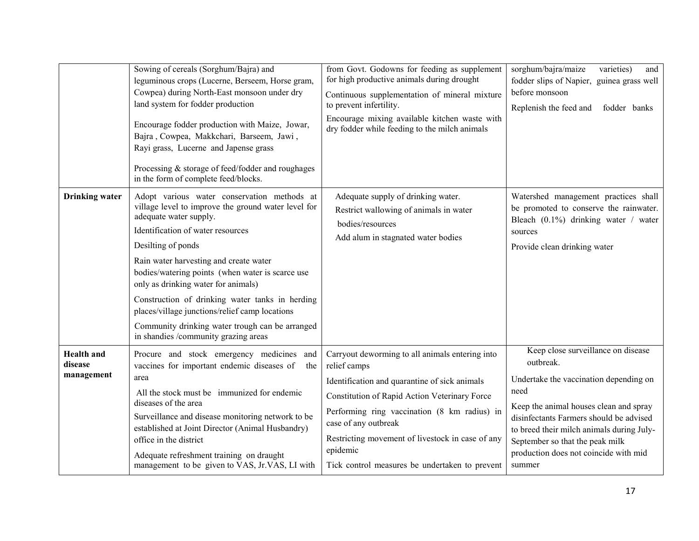|                                            | Sowing of cereals (Sorghum/Bajra) and<br>leguminous crops (Lucerne, Berseem, Horse gram,<br>Cowpea) during North-East monsoon under dry<br>land system for fodder production<br>Encourage fodder production with Maize, Jowar,<br>Bajra, Cowpea, Makkchari, Barseem, Jawi,<br>Rayi grass, Lucerne and Japense grass<br>Processing & storage of feed/fodder and roughages<br>in the form of complete feed/blocks.                                                                                                             | from Govt. Godowns for feeding as supplement<br>for high productive animals during drought<br>Continuous supplementation of mineral mixture<br>to prevent infertility.<br>Encourage mixing available kitchen waste with<br>dry fodder while feeding to the milch animals                                                                                    | sorghum/bajra/maize<br>varieties)<br>and<br>fodder slips of Napier, guinea grass well<br>before monsoon<br>Replenish the feed and<br>fodder banks                                                                                                                                                                         |
|--------------------------------------------|------------------------------------------------------------------------------------------------------------------------------------------------------------------------------------------------------------------------------------------------------------------------------------------------------------------------------------------------------------------------------------------------------------------------------------------------------------------------------------------------------------------------------|-------------------------------------------------------------------------------------------------------------------------------------------------------------------------------------------------------------------------------------------------------------------------------------------------------------------------------------------------------------|---------------------------------------------------------------------------------------------------------------------------------------------------------------------------------------------------------------------------------------------------------------------------------------------------------------------------|
| <b>Drinking</b> water                      | Adopt various water conservation methods at<br>village level to improve the ground water level for<br>adequate water supply.<br>Identification of water resources<br>Desilting of ponds<br>Rain water harvesting and create water<br>bodies/watering points (when water is scarce use<br>only as drinking water for animals)<br>Construction of drinking water tanks in herding<br>places/village junctions/relief camp locations<br>Community drinking water trough can be arranged<br>in shandies /community grazing areas | Adequate supply of drinking water.<br>Restrict wallowing of animals in water<br>bodies/resources<br>Add alum in stagnated water bodies                                                                                                                                                                                                                      | Watershed management practices shall<br>be promoted to conserve the rainwater.<br>Bleach $(0.1\%)$ drinking water / water<br>sources<br>Provide clean drinking water                                                                                                                                                      |
| <b>Health</b> and<br>disease<br>management | Procure and stock emergency medicines and<br>vaccines for important endemic diseases of<br>the<br>area<br>All the stock must be immunized for endemic<br>diseases of the area<br>Surveillance and disease monitoring network to be<br>established at Joint Director (Animal Husbandry)<br>office in the district<br>Adequate refreshment training on draught<br>management to be given to VAS, Jr.VAS, LI with                                                                                                               | Carryout deworming to all animals entering into<br>relief camps<br>Identification and quarantine of sick animals<br>Constitution of Rapid Action Veterinary Force<br>Performing ring vaccination (8 km radius) in<br>case of any outbreak<br>Restricting movement of livestock in case of any<br>epidemic<br>Tick control measures be undertaken to prevent | Keep close surveillance on disease<br>outbreak.<br>Undertake the vaccination depending on<br>need<br>Keep the animal houses clean and spray<br>disinfectants Farmers should be advised<br>to breed their milch animals during July-<br>September so that the peak milk<br>production does not coincide with mid<br>summer |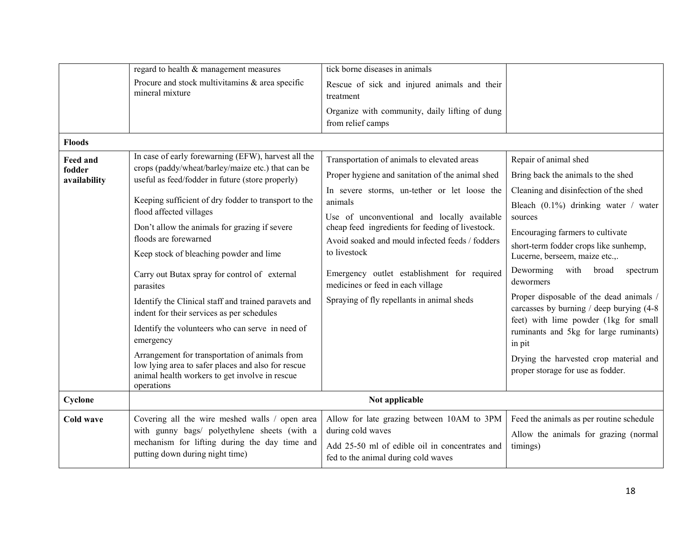|                                           | regard to health & management measures                                                                                                                                                                                                                                                                                                                                                                                                                                                                                                                                                                                                                                                                                                                              | tick borne diseases in animals                                                                                                                                                                                                                                                                                                                                                                                                                                     |                                                                                                                                                                                                                                                                                                                                                                                                                                                                                                                                                                                                   |
|-------------------------------------------|---------------------------------------------------------------------------------------------------------------------------------------------------------------------------------------------------------------------------------------------------------------------------------------------------------------------------------------------------------------------------------------------------------------------------------------------------------------------------------------------------------------------------------------------------------------------------------------------------------------------------------------------------------------------------------------------------------------------------------------------------------------------|--------------------------------------------------------------------------------------------------------------------------------------------------------------------------------------------------------------------------------------------------------------------------------------------------------------------------------------------------------------------------------------------------------------------------------------------------------------------|---------------------------------------------------------------------------------------------------------------------------------------------------------------------------------------------------------------------------------------------------------------------------------------------------------------------------------------------------------------------------------------------------------------------------------------------------------------------------------------------------------------------------------------------------------------------------------------------------|
|                                           | Procure and stock multivitamins & area specific<br>mineral mixture                                                                                                                                                                                                                                                                                                                                                                                                                                                                                                                                                                                                                                                                                                  | Rescue of sick and injured animals and their<br>treatment                                                                                                                                                                                                                                                                                                                                                                                                          |                                                                                                                                                                                                                                                                                                                                                                                                                                                                                                                                                                                                   |
|                                           |                                                                                                                                                                                                                                                                                                                                                                                                                                                                                                                                                                                                                                                                                                                                                                     | Organize with community, daily lifting of dung<br>from relief camps                                                                                                                                                                                                                                                                                                                                                                                                |                                                                                                                                                                                                                                                                                                                                                                                                                                                                                                                                                                                                   |
| <b>Floods</b>                             |                                                                                                                                                                                                                                                                                                                                                                                                                                                                                                                                                                                                                                                                                                                                                                     |                                                                                                                                                                                                                                                                                                                                                                                                                                                                    |                                                                                                                                                                                                                                                                                                                                                                                                                                                                                                                                                                                                   |
| <b>Feed and</b><br>fodder<br>availability | In case of early forewarning (EFW), harvest all the<br>crops (paddy/wheat/barley/maize etc.) that can be<br>useful as feed/fodder in future (store properly)<br>Keeping sufficient of dry fodder to transport to the<br>flood affected villages<br>Don't allow the animals for grazing if severe<br>floods are forewarned<br>Keep stock of bleaching powder and lime<br>Carry out Butax spray for control of external<br>parasites<br>Identify the Clinical staff and trained paravets and<br>indent for their services as per schedules<br>Identify the volunteers who can serve in need of<br>emergency<br>Arrangement for transportation of animals from<br>low lying area to safer places and also for rescue<br>animal health workers to get involve in rescue | Transportation of animals to elevated areas<br>Proper hygiene and sanitation of the animal shed<br>In severe storms, un-tether or let loose the<br>animals<br>Use of unconventional and locally available<br>cheap feed ingredients for feeding of livestock.<br>Avoid soaked and mould infected feeds / fodders<br>to livestock<br>Emergency outlet establishment for required<br>medicines or feed in each village<br>Spraying of fly repellants in animal sheds | Repair of animal shed<br>Bring back the animals to the shed<br>Cleaning and disinfection of the shed<br>Bleach (0.1%) drinking water / water<br>sources<br>Encouraging farmers to cultivate<br>short-term fodder crops like sunhemp,<br>Lucerne, berseem, maize etc.,.<br>Deworming<br>with<br>broad<br>spectrum<br>dewormers<br>Proper disposable of the dead animals /<br>carcasses by burning / deep burying (4-8)<br>feet) with lime powder (1kg for small<br>ruminants and 5kg for large ruminants)<br>in pit<br>Drying the harvested crop material and<br>proper storage for use as fodder. |
| Cyclone                                   | operations                                                                                                                                                                                                                                                                                                                                                                                                                                                                                                                                                                                                                                                                                                                                                          | Not applicable                                                                                                                                                                                                                                                                                                                                                                                                                                                     |                                                                                                                                                                                                                                                                                                                                                                                                                                                                                                                                                                                                   |
| <b>Cold wave</b>                          | Covering all the wire meshed walls / open area<br>with gunny bags/ polyethylene sheets (with a<br>mechanism for lifting during the day time and<br>putting down during night time)                                                                                                                                                                                                                                                                                                                                                                                                                                                                                                                                                                                  | Allow for late grazing between 10AM to 3PM<br>during cold waves<br>Add 25-50 ml of edible oil in concentrates and<br>fed to the animal during cold waves                                                                                                                                                                                                                                                                                                           | Feed the animals as per routine schedule<br>Allow the animals for grazing (normal<br>timings)                                                                                                                                                                                                                                                                                                                                                                                                                                                                                                     |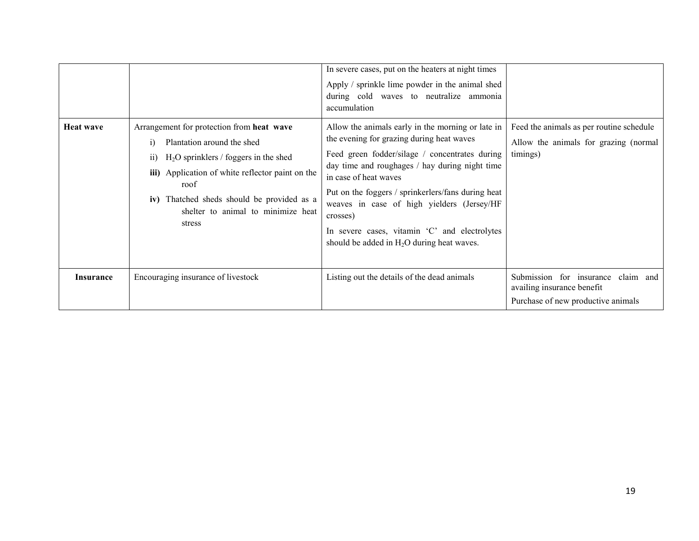|                  |                                                                                                                                                                                                                                                                                                 | In severe cases, put on the heaters at night times<br>Apply / sprinkle lime powder in the animal shed<br>during cold waves to neutralize ammonia<br>accumulation                                                                                                                                                                                                                                                                             |                                                                                                        |
|------------------|-------------------------------------------------------------------------------------------------------------------------------------------------------------------------------------------------------------------------------------------------------------------------------------------------|----------------------------------------------------------------------------------------------------------------------------------------------------------------------------------------------------------------------------------------------------------------------------------------------------------------------------------------------------------------------------------------------------------------------------------------------|--------------------------------------------------------------------------------------------------------|
| <b>Heat wave</b> | Arrangement for protection from heat wave<br>Plantation around the shed<br>$\bf{1)}$<br>$H2O$ sprinklers / foggers in the shed<br>11)<br>iii) Application of white reflector paint on the<br>roof<br>iv) Thatched sheds should be provided as a<br>shelter to animal to minimize heat<br>stress | Allow the animals early in the morning or late in<br>the evening for grazing during heat waves<br>Feed green fodder/silage / concentrates during<br>day time and roughages / hay during night time<br>in case of heat waves<br>Put on the foggers / sprinkerlers/fans during heat<br>weaves in case of high yielders (Jersey/HF<br>crosses)<br>In severe cases, vitamin 'C' and electrolytes<br>should be added in $H_2O$ during heat waves. | Feed the animals as per routine schedule<br>Allow the animals for grazing (normal<br>timings)          |
| <b>Insurance</b> | Encouraging insurance of livestock                                                                                                                                                                                                                                                              | Listing out the details of the dead animals                                                                                                                                                                                                                                                                                                                                                                                                  | Submission for insurance claim and<br>availing insurance benefit<br>Purchase of new productive animals |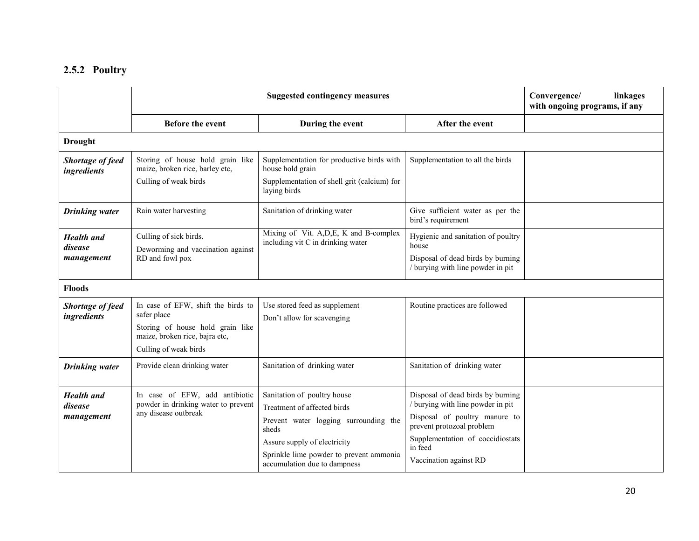#### 2.5.2 Poultry

|                                            | <b>Suggested contingency measures</b>                                                         |                                                                              |                                                                                                         | Convergence/<br>linkages<br>with ongoing programs, if any |
|--------------------------------------------|-----------------------------------------------------------------------------------------------|------------------------------------------------------------------------------|---------------------------------------------------------------------------------------------------------|-----------------------------------------------------------|
|                                            | <b>Before the event</b>                                                                       | During the event                                                             | After the event                                                                                         |                                                           |
| <b>Drought</b>                             |                                                                                               |                                                                              |                                                                                                         |                                                           |
| Shortage of feed<br>ingredients            | Storing of house hold grain like<br>maize, broken rice, barley etc,                           | Supplementation for productive birds with<br>house hold grain                | Supplementation to all the birds                                                                        |                                                           |
|                                            | Culling of weak birds                                                                         | Supplementation of shell grit (calcium) for<br>laying birds                  |                                                                                                         |                                                           |
| <b>Drinking</b> water                      | Rain water harvesting                                                                         | Sanitation of drinking water                                                 | Give sufficient water as per the<br>bird's requirement                                                  |                                                           |
| <b>Health</b> and                          | Culling of sick birds.                                                                        | Mixing of Vit. A, D, E, K and B-complex<br>including vit C in drinking water | Hygienic and sanitation of poultry<br>house                                                             |                                                           |
| disease<br>management                      | Deworming and vaccination against<br>RD and fowl pox                                          |                                                                              | Disposal of dead birds by burning<br>/ burying with line powder in pit                                  |                                                           |
| <b>Floods</b>                              |                                                                                               |                                                                              |                                                                                                         |                                                           |
| Shortage of feed<br>ingredients            | In case of EFW, shift the birds to<br>safer place                                             | Use stored feed as supplement<br>Don't allow for scavenging                  | Routine practices are followed                                                                          |                                                           |
|                                            | Storing of house hold grain like<br>maize, broken rice, bajra etc,<br>Culling of weak birds   |                                                                              |                                                                                                         |                                                           |
| <b>Drinking</b> water                      | Provide clean drinking water                                                                  | Sanitation of drinking water                                                 | Sanitation of drinking water                                                                            |                                                           |
| <b>Health</b> and<br>disease<br>management | In case of EFW, add antibiotic<br>powder in drinking water to prevent<br>any disease outbreak | Sanitation of poultry house<br>Treatment of affected birds                   | Disposal of dead birds by burning<br>/ burying with line powder in pit<br>Disposal of poultry manure to |                                                           |
|                                            |                                                                                               | Prevent water logging surrounding the<br>sheds                               | prevent protozoal problem                                                                               |                                                           |
|                                            |                                                                                               | Assure supply of electricity                                                 | Supplementation of coccidiostats<br>in feed                                                             |                                                           |
|                                            |                                                                                               | Sprinkle lime powder to prevent ammonia<br>accumulation due to dampness      | Vaccination against RD                                                                                  |                                                           |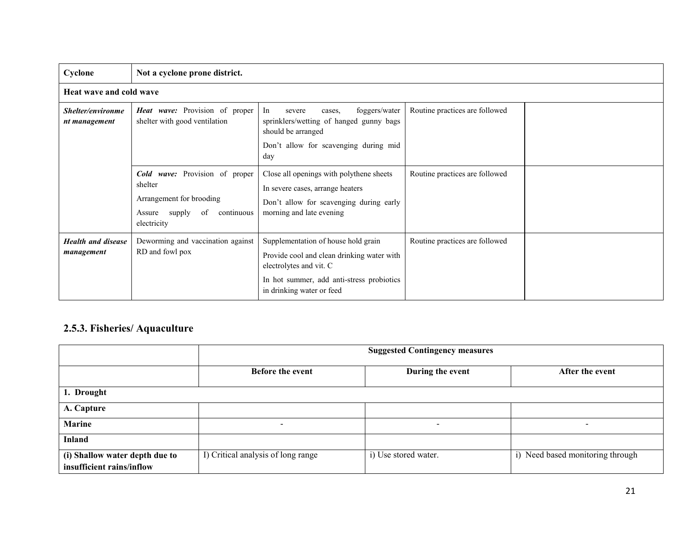| Cyclone                                 | Not a cyclone prone district.                                                                                          |                                                                                                                                                                                        |                                |  |
|-----------------------------------------|------------------------------------------------------------------------------------------------------------------------|----------------------------------------------------------------------------------------------------------------------------------------------------------------------------------------|--------------------------------|--|
| Heat wave and cold wave                 |                                                                                                                        |                                                                                                                                                                                        |                                |  |
| Shelter/environme<br>nt management      | <b>Heat wave:</b> Provision of proper<br>shelter with good ventilation                                                 | In<br>foggers/water<br>severe<br>cases,<br>sprinklers/wetting of hanged gunny bags<br>should be arranged<br>Don't allow for scavenging during mid<br>day                               | Routine practices are followed |  |
|                                         | Cold wave: Provision of proper<br>shelter<br>Arrangement for brooding<br>continuous<br>Assure supply of<br>electricity | Close all openings with polythene sheets<br>In severe cases, arrange heaters<br>Don't allow for scavenging during early<br>morning and late evening                                    | Routine practices are followed |  |
| <b>Health and disease</b><br>management | Deworming and vaccination against<br>RD and fowl pox                                                                   | Supplementation of house hold grain<br>Provide cool and clean drinking water with<br>electrolytes and vit. C<br>In hot summer, add anti-stress probiotics<br>in drinking water or feed | Routine practices are followed |  |

## 2.5.3. Fisheries/ Aquaculture

|                                | <b>Suggested Contingency measures</b> |                      |                                  |  |
|--------------------------------|---------------------------------------|----------------------|----------------------------------|--|
|                                | Before the event                      | During the event     | After the event                  |  |
| 1. Drought                     |                                       |                      |                                  |  |
| A. Capture                     |                                       |                      |                                  |  |
| Marine                         | $\overline{\phantom{a}}$              | $\sim$               | $\overline{\phantom{0}}$         |  |
| Inland                         |                                       |                      |                                  |  |
| (i) Shallow water depth due to | I) Critical analysis of long range    | i) Use stored water. | i) Need based monitoring through |  |
| insufficient rains/inflow      |                                       |                      |                                  |  |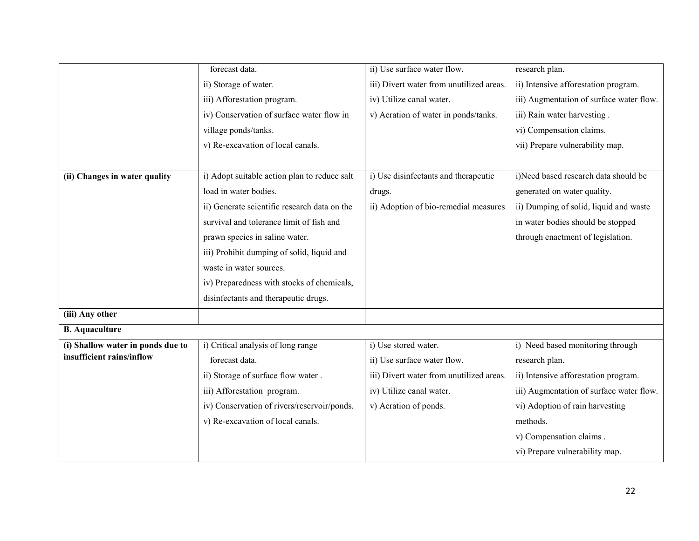|                                   | forecast data.                               | ii) Use surface water flow.              | research plan.                           |
|-----------------------------------|----------------------------------------------|------------------------------------------|------------------------------------------|
|                                   | ii) Storage of water.                        | iii) Divert water from unutilized areas. | ii) Intensive afforestation program.     |
|                                   | iii) Afforestation program.                  | iv) Utilize canal water.                 | iii) Augmentation of surface water flow. |
|                                   | iv) Conservation of surface water flow in    | v) Aeration of water in ponds/tanks.     | iii) Rain water harvesting.              |
|                                   | village ponds/tanks.                         |                                          | vi) Compensation claims.                 |
|                                   | v) Re-excavation of local canals.            |                                          | vii) Prepare vulnerability map.          |
|                                   |                                              |                                          |                                          |
| (ii) Changes in water quality     | i) Adopt suitable action plan to reduce salt | i) Use disinfectants and therapeutic     | i)Need based research data should be     |
|                                   | load in water bodies.                        | drugs.                                   | generated on water quality.              |
|                                   | ii) Generate scientific research data on the | ii) Adoption of bio-remedial measures    | ii) Dumping of solid, liquid and waste   |
|                                   | survival and tolerance limit of fish and     |                                          | in water bodies should be stopped        |
|                                   | prawn species in saline water.               |                                          | through enactment of legislation.        |
|                                   | iii) Prohibit dumping of solid, liquid and   |                                          |                                          |
|                                   | waste in water sources.                      |                                          |                                          |
|                                   | iv) Preparedness with stocks of chemicals,   |                                          |                                          |
|                                   | disinfectants and therapeutic drugs.         |                                          |                                          |
| (iii) Any other                   |                                              |                                          |                                          |
| <b>B.</b> Aquaculture             |                                              |                                          |                                          |
| (i) Shallow water in ponds due to | i) Critical analysis of long range           | i) Use stored water.                     | i) Need based monitoring through         |
| insufficient rains/inflow         | forecast data.                               | ii) Use surface water flow.              | research plan.                           |
|                                   | ii) Storage of surface flow water.           | iii) Divert water from unutilized areas. | ii) Intensive afforestation program.     |
|                                   | iii) Afforestation program.                  | iv) Utilize canal water.                 | iii) Augmentation of surface water flow. |
|                                   | iv) Conservation of rivers/reservoir/ponds.  | v) Aeration of ponds.                    | vi) Adoption of rain harvesting          |
|                                   | v) Re-excavation of local canals.            |                                          | methods.                                 |
|                                   |                                              |                                          | v) Compensation claims.                  |
|                                   |                                              |                                          | vi) Prepare vulnerability map.           |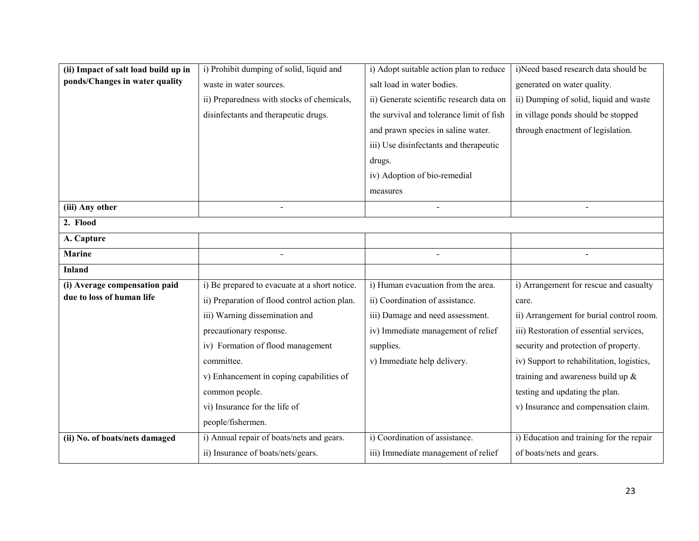| (ii) Impact of salt load build up in | i) Prohibit dumping of solid, liquid and      | i) Adopt suitable action plan to reduce  | i)Need based research data should be      |
|--------------------------------------|-----------------------------------------------|------------------------------------------|-------------------------------------------|
| ponds/Changes in water quality       | waste in water sources.                       | salt load in water bodies.               | generated on water quality.               |
|                                      | ii) Preparedness with stocks of chemicals,    | ii) Generate scientific research data on | ii) Dumping of solid, liquid and waste    |
|                                      | disinfectants and therapeutic drugs.          | the survival and tolerance limit of fish | in village ponds should be stopped        |
|                                      |                                               | and prawn species in saline water.       | through enactment of legislation.         |
|                                      |                                               | iii) Use disinfectants and therapeutic   |                                           |
|                                      |                                               | drugs.                                   |                                           |
|                                      |                                               | iv) Adoption of bio-remedial             |                                           |
|                                      |                                               | measures                                 |                                           |
| (iii) Any other                      |                                               |                                          |                                           |
| 2. Flood                             |                                               |                                          |                                           |
| A. Capture                           |                                               |                                          |                                           |
| <b>Marine</b>                        |                                               |                                          |                                           |
| <b>Inland</b>                        |                                               |                                          |                                           |
| (i) Average compensation paid        | i) Be prepared to evacuate at a short notice. | i) Human evacuation from the area.       | i) Arrangement for rescue and casualty    |
| due to loss of human life            | ii) Preparation of flood control action plan. | ii) Coordination of assistance.          | care.                                     |
|                                      | iii) Warning dissemination and                | iii) Damage and need assessment.         | ii) Arrangement for burial control room.  |
|                                      | precautionary response.                       | iv) Immediate management of relief       | iii) Restoration of essential services,   |
|                                      | iv) Formation of flood management             | supplies.                                | security and protection of property.      |
|                                      | committee.                                    | v) Immediate help delivery.              | iv) Support to rehabilitation, logistics, |
|                                      | v) Enhancement in coping capabilities of      |                                          | training and awareness build up &         |
|                                      | common people.                                |                                          | testing and updating the plan.            |
|                                      | vi) Insurance for the life of                 |                                          | v) Insurance and compensation claim.      |
|                                      | people/fishermen.                             |                                          |                                           |
| (ii) No. of boats/nets damaged       | i) Annual repair of boats/nets and gears.     | i) Coordination of assistance.           | i) Education and training for the repair  |
|                                      | ii) Insurance of boats/nets/gears.            | iii) Immediate management of relief      | of boats/nets and gears.                  |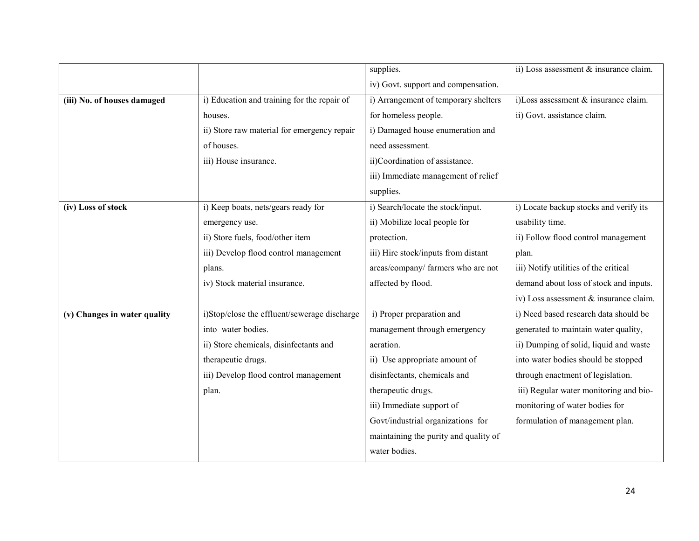|                              |                                              | supplies.                             | ii) Loss assessment & insurance claim. |
|------------------------------|----------------------------------------------|---------------------------------------|----------------------------------------|
|                              |                                              | iv) Govt. support and compensation.   |                                        |
| (iii) No. of houses damaged  | i) Education and training for the repair of  | i) Arrangement of temporary shelters  | i)Loss assessment & insurance claim.   |
|                              | houses.                                      | for homeless people.                  | ii) Govt. assistance claim.            |
|                              | ii) Store raw material for emergency repair  | i) Damaged house enumeration and      |                                        |
|                              | of houses.                                   | need assessment.                      |                                        |
|                              | iii) House insurance.                        | ii)Coordination of assistance.        |                                        |
|                              |                                              | iii) Immediate management of relief   |                                        |
|                              |                                              | supplies.                             |                                        |
| (iv) Loss of stock           | i) Keep boats, nets/gears ready for          | i) Search/locate the stock/input.     | i) Locate backup stocks and verify its |
|                              | emergency use.                               | ii) Mobilize local people for         | usability time.                        |
|                              | ii) Store fuels, food/other item             | protection.                           | ii) Follow flood control management    |
|                              | iii) Develop flood control management        | iii) Hire stock/inputs from distant   | plan.                                  |
|                              | plans.                                       | areas/company/ farmers who are not    | iii) Notify utilities of the critical  |
|                              | iv) Stock material insurance.                | affected by flood.                    | demand about loss of stock and inputs. |
|                              |                                              |                                       | iv) Loss assessment & insurance claim. |
| (v) Changes in water quality | i)Stop/close the effluent/sewerage discharge | i) Proper preparation and             | i) Need based research data should be  |
|                              | into water bodies.                           | management through emergency          | generated to maintain water quality,   |
|                              | ii) Store chemicals, disinfectants and       | aeration.                             | ii) Dumping of solid, liquid and waste |
|                              | therapeutic drugs.                           | ii) Use appropriate amount of         | into water bodies should be stopped    |
|                              | iii) Develop flood control management        | disinfectants, chemicals and          | through enactment of legislation.      |
|                              | plan.                                        | therapeutic drugs.                    | iii) Regular water monitoring and bio- |
|                              |                                              | iii) Immediate support of             | monitoring of water bodies for         |
|                              |                                              | Govt/industrial organizations for     | formulation of management plan.        |
|                              |                                              | maintaining the purity and quality of |                                        |
|                              |                                              | water bodies.                         |                                        |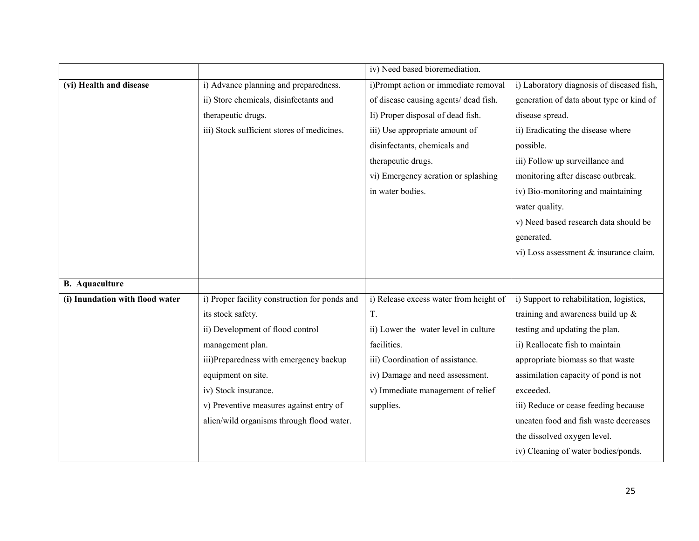|                                 |                                               | iv) Need based bioremediation.         |                                           |
|---------------------------------|-----------------------------------------------|----------------------------------------|-------------------------------------------|
| (vi) Health and disease         | i) Advance planning and preparedness.         | i)Prompt action or immediate removal   | i) Laboratory diagnosis of diseased fish, |
|                                 | ii) Store chemicals, disinfectants and        | of disease causing agents/ dead fish.  | generation of data about type or kind of  |
|                                 | therapeutic drugs.                            | Ii) Proper disposal of dead fish.      | disease spread.                           |
|                                 | iii) Stock sufficient stores of medicines.    | iii) Use appropriate amount of         | ii) Eradicating the disease where         |
|                                 |                                               | disinfectants, chemicals and           | possible.                                 |
|                                 |                                               | therapeutic drugs.                     | iii) Follow up surveillance and           |
|                                 |                                               | vi) Emergency aeration or splashing    | monitoring after disease outbreak.        |
|                                 |                                               | in water bodies.                       | iv) Bio-monitoring and maintaining        |
|                                 |                                               |                                        | water quality.                            |
|                                 |                                               |                                        | v) Need based research data should be     |
|                                 |                                               |                                        | generated.                                |
|                                 |                                               |                                        | vi) Loss assessment & insurance claim.    |
|                                 |                                               |                                        |                                           |
| <b>B.</b> Aquaculture           |                                               |                                        |                                           |
| (i) Inundation with flood water | i) Proper facility construction for ponds and | i) Release excess water from height of | i) Support to rehabilitation, logistics,  |
|                                 | its stock safety.                             | T.                                     | training and awareness build up $\&$      |
|                                 | ii) Development of flood control              | ii) Lower the water level in culture   | testing and updating the plan.            |
|                                 | management plan.                              | facilities.                            | ii) Reallocate fish to maintain           |
|                                 | iii)Preparedness with emergency backup        | iii) Coordination of assistance.       | appropriate biomass so that waste         |
|                                 | equipment on site.                            | iv) Damage and need assessment.        | assimilation capacity of pond is not      |
|                                 | iv) Stock insurance.                          | v) Immediate management of relief      | exceeded.                                 |
|                                 | v) Preventive measures against entry of       | supplies.                              | iii) Reduce or cease feeding because      |
|                                 | alien/wild organisms through flood water.     |                                        | uneaten food and fish waste decreases     |
|                                 |                                               |                                        | the dissolved oxygen level.               |
|                                 |                                               |                                        | iv) Cleaning of water bodies/ponds.       |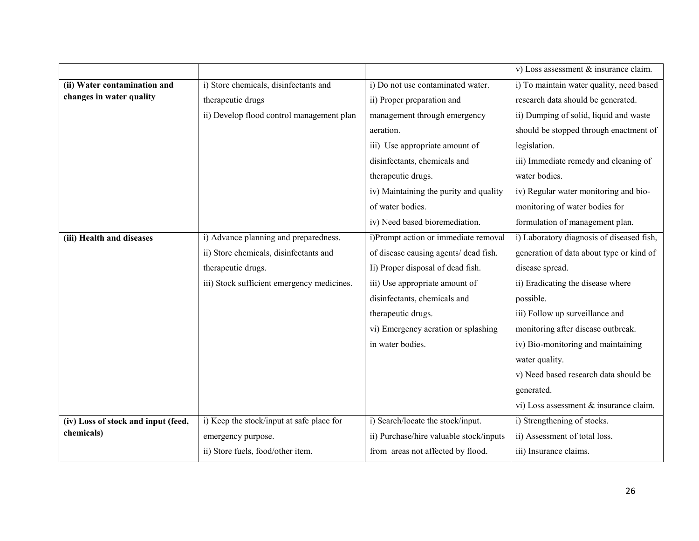|                                     |                                            |                                         | v) Loss assessment & insurance claim.     |
|-------------------------------------|--------------------------------------------|-----------------------------------------|-------------------------------------------|
| (ii) Water contamination and        | i) Store chemicals, disinfectants and      | i) Do not use contaminated water.       | i) To maintain water quality, need based  |
| changes in water quality            | therapeutic drugs                          | ii) Proper preparation and              | research data should be generated.        |
|                                     | ii) Develop flood control management plan  | management through emergency            | ii) Dumping of solid, liquid and waste    |
|                                     |                                            | aeration.                               | should be stopped through enactment of    |
|                                     |                                            | iii) Use appropriate amount of          | legislation.                              |
|                                     |                                            | disinfectants, chemicals and            | iii) Immediate remedy and cleaning of     |
|                                     |                                            | therapeutic drugs.                      | water bodies.                             |
|                                     |                                            | iv) Maintaining the purity and quality  | iv) Regular water monitoring and bio-     |
|                                     |                                            | of water bodies.                        | monitoring of water bodies for            |
|                                     |                                            | iv) Need based bioremediation.          | formulation of management plan.           |
| (iii) Health and diseases           | i) Advance planning and preparedness.      | i)Prompt action or immediate removal    | i) Laboratory diagnosis of diseased fish, |
|                                     | ii) Store chemicals, disinfectants and     | of disease causing agents/ dead fish.   | generation of data about type or kind of  |
|                                     | therapeutic drugs.                         | Ii) Proper disposal of dead fish.       | disease spread.                           |
|                                     | iii) Stock sufficient emergency medicines. | iii) Use appropriate amount of          | ii) Eradicating the disease where         |
|                                     |                                            | disinfectants, chemicals and            | possible.                                 |
|                                     |                                            | therapeutic drugs.                      | iii) Follow up surveillance and           |
|                                     |                                            | vi) Emergency aeration or splashing     | monitoring after disease outbreak.        |
|                                     |                                            | in water bodies.                        | iv) Bio-monitoring and maintaining        |
|                                     |                                            |                                         | water quality.                            |
|                                     |                                            |                                         | v) Need based research data should be     |
|                                     |                                            |                                         | generated.                                |
|                                     |                                            |                                         | vi) Loss assessment & insurance claim.    |
| (iv) Loss of stock and input (feed, | i) Keep the stock/input at safe place for  | i) Search/locate the stock/input.       | i) Strengthening of stocks.               |
| chemicals)                          | emergency purpose.                         | ii) Purchase/hire valuable stock/inputs | ii) Assessment of total loss.             |
|                                     | ii) Store fuels, food/other item.          | from areas not affected by flood.       | iii) Insurance claims.                    |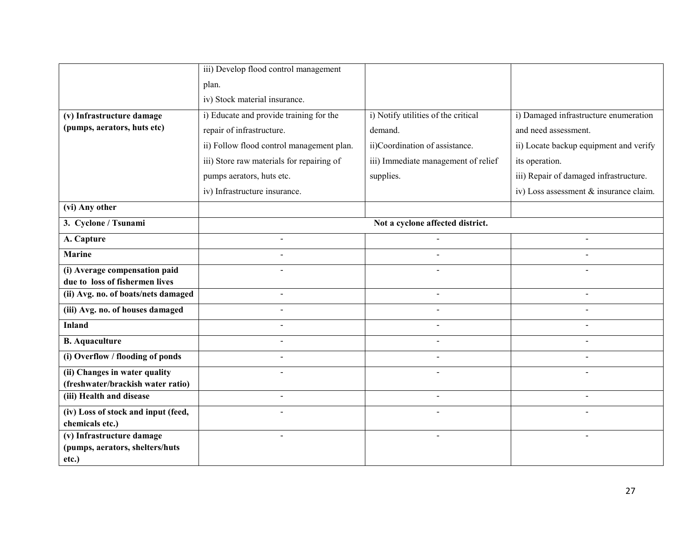|                                                              | iii) Develop flood control management     |                                     |                                        |
|--------------------------------------------------------------|-------------------------------------------|-------------------------------------|----------------------------------------|
|                                                              | plan.                                     |                                     |                                        |
|                                                              | iv) Stock material insurance.             |                                     |                                        |
| (v) Infrastructure damage                                    | i) Educate and provide training for the   | i) Notify utilities of the critical | i) Damaged infrastructure enumeration  |
| (pumps, aerators, huts etc)                                  | repair of infrastructure.                 | demand.                             | and need assessment.                   |
|                                                              | ii) Follow flood control management plan. | ii)Coordination of assistance.      | ii) Locate backup equipment and verify |
|                                                              | iii) Store raw materials for repairing of | iii) Immediate management of relief | its operation.                         |
|                                                              | pumps aerators, huts etc.                 | supplies.                           | iii) Repair of damaged infrastructure. |
|                                                              | iv) Infrastructure insurance.             |                                     | iv) Loss assessment & insurance claim. |
| (vi) Any other                                               |                                           |                                     |                                        |
| 3. Cyclone / Tsunami                                         |                                           | Not a cyclone affected district.    |                                        |
| A. Capture                                                   | $\mathbf{r}$                              |                                     |                                        |
| <b>Marine</b>                                                | $\overline{a}$                            |                                     |                                        |
| (i) Average compensation paid                                |                                           |                                     |                                        |
| due to loss of fishermen lives                               |                                           |                                     |                                        |
| (ii) Avg. no. of boats/nets damaged                          |                                           |                                     |                                        |
| (iii) Avg. no. of houses damaged                             | $\overline{a}$                            |                                     |                                        |
| <b>Inland</b>                                                | $\overline{a}$                            |                                     |                                        |
| <b>B.</b> Aquaculture                                        | $\mathbf{r}$                              | $\mathbf{r}$                        |                                        |
| (i) Overflow / flooding of ponds                             | $\overline{a}$                            | $\overline{a}$                      |                                        |
| (ii) Changes in water quality                                |                                           |                                     |                                        |
| (freshwater/brackish water ratio)                            |                                           |                                     |                                        |
| (iii) Health and disease                                     | $\overline{a}$                            | $\overline{a}$                      |                                        |
| (iv) Loss of stock and input (feed,                          |                                           |                                     |                                        |
| chemicals etc.)                                              |                                           |                                     |                                        |
| (v) Infrastructure damage<br>(pumps, aerators, shelters/huts |                                           |                                     |                                        |
| etc.)                                                        |                                           |                                     |                                        |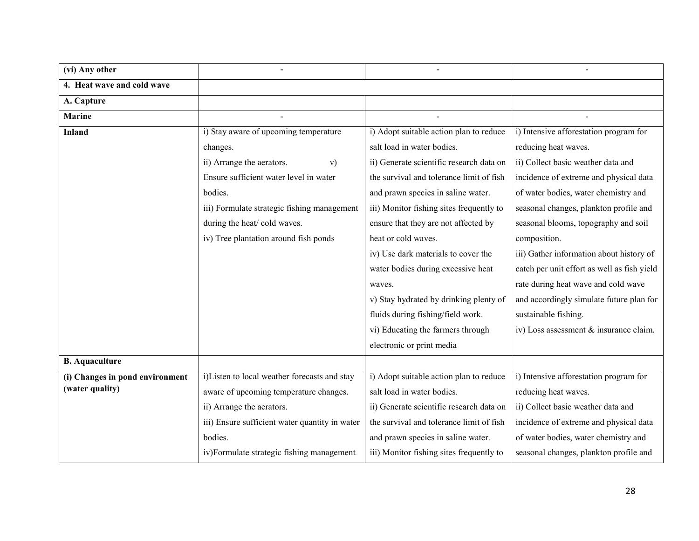| (vi) Any other                  |                                                |                                          |                                             |
|---------------------------------|------------------------------------------------|------------------------------------------|---------------------------------------------|
| 4. Heat wave and cold wave      |                                                |                                          |                                             |
| A. Capture                      |                                                |                                          |                                             |
| <b>Marine</b>                   |                                                |                                          |                                             |
| <b>Inland</b>                   | i) Stay aware of upcoming temperature          | i) Adopt suitable action plan to reduce  | i) Intensive afforestation program for      |
|                                 | changes.                                       | salt load in water bodies.               | reducing heat waves.                        |
|                                 | ii) Arrange the aerators.<br>V)                | ii) Generate scientific research data on | ii) Collect basic weather data and          |
|                                 | Ensure sufficient water level in water         | the survival and tolerance limit of fish | incidence of extreme and physical data      |
|                                 | bodies.                                        | and prawn species in saline water.       | of water bodies, water chemistry and        |
|                                 | iii) Formulate strategic fishing management    | iii) Monitor fishing sites frequently to | seasonal changes, plankton profile and      |
|                                 | during the heat/ cold waves.                   | ensure that they are not affected by     | seasonal blooms, topography and soil        |
|                                 | iv) Tree plantation around fish ponds          | heat or cold waves.                      | composition.                                |
|                                 |                                                | iv) Use dark materials to cover the      | iii) Gather information about history of    |
|                                 |                                                | water bodies during excessive heat       | catch per unit effort as well as fish yield |
|                                 |                                                | waves.                                   | rate during heat wave and cold wave         |
|                                 |                                                | v) Stay hydrated by drinking plenty of   | and accordingly simulate future plan for    |
|                                 |                                                | fluids during fishing/field work.        | sustainable fishing.                        |
|                                 |                                                | vi) Educating the farmers through        | iv) Loss assessment & insurance claim.      |
|                                 |                                                | electronic or print media                |                                             |
| <b>B.</b> Aquaculture           |                                                |                                          |                                             |
| (i) Changes in pond environment | i)Listen to local weather forecasts and stay   | i) Adopt suitable action plan to reduce  | i) Intensive afforestation program for      |
| (water quality)                 | aware of upcoming temperature changes.         | salt load in water bodies.               | reducing heat waves.                        |
|                                 | ii) Arrange the aerators.                      | ii) Generate scientific research data on | ii) Collect basic weather data and          |
|                                 | iii) Ensure sufficient water quantity in water | the survival and tolerance limit of fish | incidence of extreme and physical data      |
|                                 | bodies.                                        | and prawn species in saline water.       | of water bodies, water chemistry and        |
|                                 | iv)Formulate strategic fishing management      | iii) Monitor fishing sites frequently to | seasonal changes, plankton profile and      |